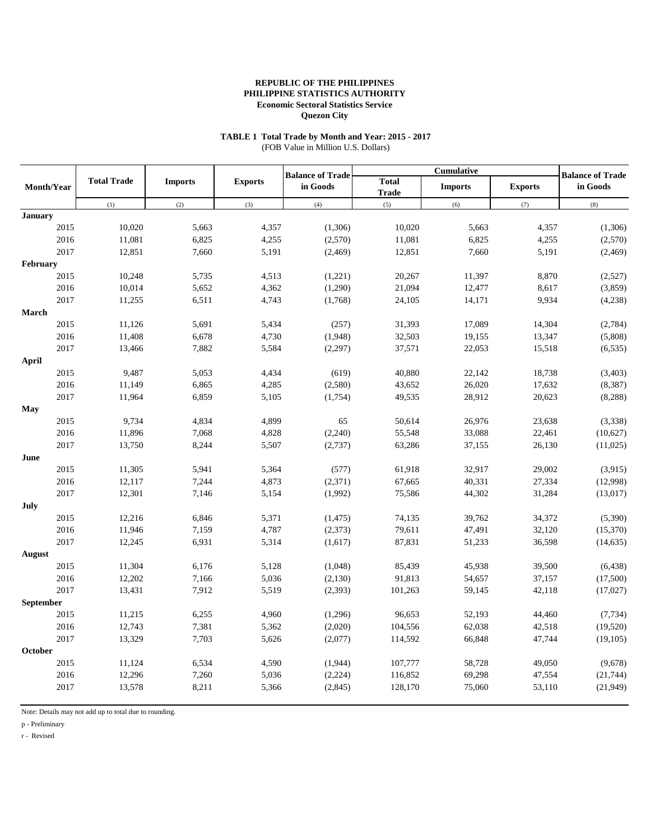# **TABLE 1 Total Trade by Month and Year: 2015 - 2017**

(FOB Value in Million U.S. Dollars)

|                |                    |                |                | <b>Balance of Trade</b> |                              | <b>Cumulative</b> | <b>Balance of Trade</b> |           |
|----------------|--------------------|----------------|----------------|-------------------------|------------------------------|-------------------|-------------------------|-----------|
| Month/Year     | <b>Total Trade</b> | <b>Imports</b> | <b>Exports</b> | in Goods                | <b>Total</b><br><b>Trade</b> | <b>Imports</b>    | <b>Exports</b>          | in Goods  |
|                | (1)                | (2)            | (3)            | (4)                     | (5)                          | (6)               | (7)                     | (8)       |
| <b>January</b> |                    |                |                |                         |                              |                   |                         |           |
| 2015           | 10,020             | 5,663          | 4,357          | (1,306)                 | 10,020                       | 5,663             | 4,357                   | (1,306)   |
| 2016           | 11,081             | 6,825          | 4,255          | (2,570)                 | 11,081                       | 6,825             | 4,255                   | (2,570)   |
| 2017           | 12,851             | 7,660          | 5,191          | (2,469)                 | 12,851                       | 7,660             | 5,191                   | (2, 469)  |
| February       |                    |                |                |                         |                              |                   |                         |           |
| 2015           | 10,248             | 5,735          | 4,513          | (1,221)                 | 20,267                       | 11,397            | 8,870                   | (2,527)   |
| 2016           | 10,014             | 5,652          | 4,362          | (1,290)                 | 21,094                       | 12,477            | 8,617                   | (3,859)   |
| 2017           | 11,255             | 6,511          | 4,743          | (1,768)                 | 24,105                       | 14,171            | 9,934                   | (4,238)   |
| March          |                    |                |                |                         |                              |                   |                         |           |
| 2015           | 11,126             | 5,691          | 5,434          | (257)                   | 31,393                       | 17,089            | 14,304                  | (2,784)   |
| 2016           | 11,408             | 6,678          | 4,730          | (1,948)                 | 32,503                       | 19,155            | 13,347                  | (5,808)   |
| 2017           | 13,466             | 7,882          | 5,584          | (2,297)                 | 37,571                       | 22,053            | 15,518                  | (6, 535)  |
| <b>April</b>   |                    |                |                |                         |                              |                   |                         |           |
| 2015           | 9,487              | 5,053          | 4,434          | (619)                   | 40,880                       | 22,142            | 18,738                  | (3,403)   |
| 2016           | 11,149             | 6,865          | 4,285          | (2,580)                 | 43,652                       | 26,020            | 17,632                  | (8, 387)  |
| 2017           | 11,964             | 6,859          | 5,105          | (1,754)                 | 49,535                       | 28,912            | 20,623                  | (8, 288)  |
| May            |                    |                |                |                         |                              |                   |                         |           |
| 2015           | 9,734              | 4,834          | 4,899          | 65                      | 50,614                       | 26,976            | 23,638                  | (3,338)   |
| 2016           | 11,896             | 7,068          | 4,828          | (2,240)                 | 55,548                       | 33,088            | 22,461                  | (10,627)  |
| 2017           | 13,750             | 8,244          | 5,507          | (2,737)                 | 63,286                       | 37,155            | 26,130                  | (11,025)  |
| June           |                    |                |                |                         |                              |                   |                         |           |
| 2015           | 11,305             | 5,941          | 5,364          | (577)                   | 61,918                       | 32,917            | 29,002                  | (3,915)   |
| 2016           | 12,117             | 7,244          | 4,873          | (2,371)                 | 67,665                       | 40,331            | 27,334                  | (12,998)  |
| 2017           | 12,301             | 7,146          | 5,154          | (1,992)                 | 75,586                       | 44,302            | 31,284                  | (13, 017) |
| July           |                    |                |                |                         |                              |                   |                         |           |
| 2015           | 12,216             | 6,846          | 5,371          | (1, 475)                | 74,135                       | 39,762            | 34,372                  | (5,390)   |
| 2016           | 11,946             | 7,159          | 4,787          | (2,373)                 | 79,611                       | 47,491            | 32,120                  | (15,370)  |
| 2017           | 12,245             | 6,931          | 5,314          | (1,617)                 | 87,831                       | 51,233            | 36,598                  | (14, 635) |
| August         |                    |                |                |                         |                              |                   |                         |           |
| 2015           | 11,304             | 6,176          | 5,128          | (1,048)                 | 85,439                       | 45,938            | 39,500                  | (6, 438)  |
| 2016           | 12,202             | 7,166          | 5,036          | (2,130)                 | 91,813                       | 54,657            | 37,157                  | (17,500)  |
| 2017           | 13,431             | 7,912          | 5,519          | (2,393)                 | 101,263                      | 59,145            | 42,118                  | (17,027)  |
| September      |                    |                |                |                         |                              |                   |                         |           |
| 2015           | 11,215             | 6,255          | 4,960          | (1,296)                 | 96,653                       | 52,193            | 44,460                  | (7, 734)  |
| 2016           | 12,743             | 7,381          | 5,362          | (2,020)                 | 104,556                      | 62,038            | 42,518                  | (19,520)  |
| 2017           | 13,329             | 7,703          | 5,626          | (2,077)                 | 114,592                      | 66,848            | 47,744                  | (19, 105) |
| October        |                    |                |                |                         |                              |                   |                         |           |
| 2015           | 11,124             | 6,534          | 4,590          | (1,944)                 | 107,777                      | 58,728            | 49,050                  | (9,678)   |
| 2016           | 12,296             | 7,260          | 5,036          | (2,224)                 | 116,852                      | 69,298            | 47,554                  | (21, 744) |
| 2017           | 13,578             | 8,211          | 5,366          | (2,845)                 | 128,170                      | 75,060            | 53,110                  | (21, 949) |

Note: Details may not add up to total due to rounding.

p - Preliminary

r - Revised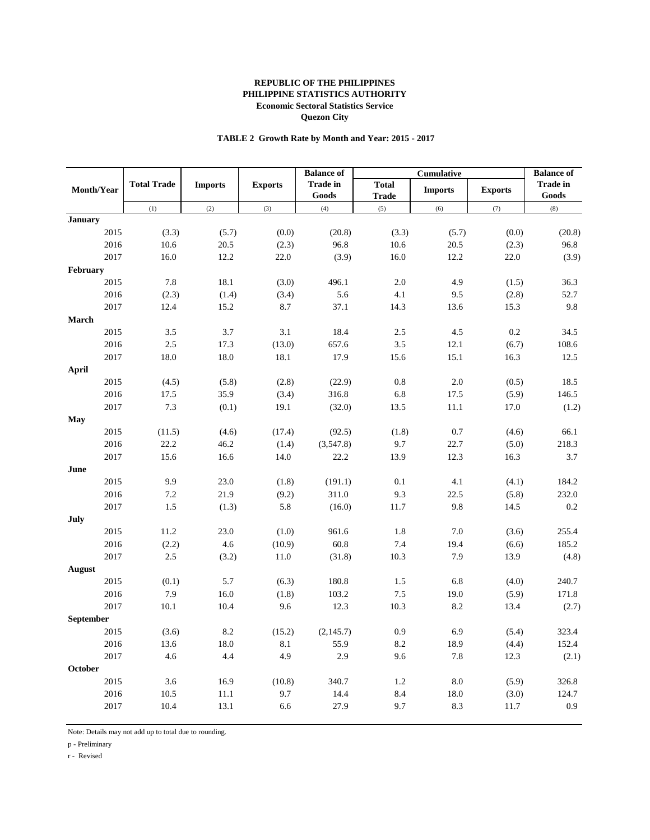## **TABLE 2 Growth Rate by Month and Year: 2015 - 2017**

|                |                    |                |                | <b>Balance of</b>        |                              |                | <b>Balance of</b> |                          |
|----------------|--------------------|----------------|----------------|--------------------------|------------------------------|----------------|-------------------|--------------------------|
| Month/Year     | <b>Total Trade</b> | <b>Imports</b> | <b>Exports</b> | <b>Trade in</b><br>Goods | <b>Total</b><br><b>Trade</b> | <b>Imports</b> | <b>Exports</b>    | <b>Trade in</b><br>Goods |
|                | (1)                | (2)            | (3)            | (4)                      | (5)                          | (6)            | (7)               | (8)                      |
| <b>January</b> |                    |                |                |                          |                              |                |                   |                          |
| 2015           | (3.3)              | (5.7)          | (0.0)          | (20.8)                   | (3.3)                        | (5.7)          | (0.0)             | (20.8)                   |
| 2016           | 10.6               | 20.5           | (2.3)          | 96.8                     | 10.6                         | 20.5           | (2.3)             | 96.8                     |
| 2017           | 16.0               | 12.2           | 22.0           | (3.9)                    | 16.0                         | 12.2           | 22.0              | (3.9)                    |
| February       |                    |                |                |                          |                              |                |                   |                          |
| 2015           | 7.8                | 18.1           | (3.0)          | 496.1                    | 2.0                          | 4.9            | (1.5)             | 36.3                     |
| 2016           | (2.3)              | (1.4)          | (3.4)          | 5.6                      | 4.1                          | 9.5            | (2.8)             | 52.7                     |
| 2017           | 12.4               | 15.2           | 8.7            | 37.1                     | 14.3                         | 13.6           | 15.3              | 9.8                      |
| March          |                    |                |                |                          |                              |                |                   |                          |
| 2015           | 3.5                | 3.7            | 3.1            | 18.4                     | 2.5                          | 4.5            | 0.2               | 34.5                     |
| 2016           | 2.5                | 17.3           | (13.0)         | 657.6                    | 3.5                          | 12.1           | (6.7)             | 108.6                    |
| 2017           | 18.0               | 18.0           | 18.1           | 17.9                     | 15.6                         | 15.1           | 16.3              | 12.5                     |
| <b>April</b>   |                    |                |                |                          |                              |                |                   |                          |
| 2015           | (4.5)              | (5.8)          | (2.8)          | (22.9)                   | $0.8\,$                      | $2.0\,$        | (0.5)             | 18.5                     |
| 2016           | 17.5               | 35.9           | (3.4)          | 316.8                    | 6.8                          | 17.5           | (5.9)             | 146.5                    |
| 2017           | 7.3                | (0.1)          | 19.1           | (32.0)                   | 13.5                         | 11.1           | 17.0              | (1.2)                    |
| May            |                    |                |                |                          |                              |                |                   |                          |
| 2015           | (11.5)             | (4.6)          | (17.4)         | (92.5)                   | (1.8)                        | 0.7            | (4.6)             | 66.1                     |
| 2016           | 22.2               | 46.2           | (1.4)          | (3,547.8)                | 9.7                          | 22.7           | (5.0)             | 218.3                    |
| 2017           | 15.6               | 16.6           | 14.0           | 22.2                     | 13.9                         | 12.3           | 16.3              | 3.7                      |
| June           |                    |                |                |                          |                              |                |                   |                          |
| 2015           | 9.9                | 23.0           | (1.8)          | (191.1)                  | 0.1                          | 4.1            | (4.1)             | 184.2                    |
| 2016           | 7.2                | 21.9           | (9.2)          | 311.0                    | 9.3                          | 22.5           | (5.8)             | 232.0                    |
| 2017           | 1.5                | (1.3)          | 5.8            | (16.0)                   | 11.7                         | 9.8            | 14.5              | 0.2                      |
| July           |                    |                |                |                          |                              |                |                   |                          |
| 2015           | 11.2               | 23.0           | (1.0)          | 961.6                    | 1.8                          | 7.0            | (3.6)             | 255.4                    |
| 2016           | (2.2)              | 4.6            | (10.9)         | 60.8                     | 7.4                          | 19.4           | (6.6)             | 185.2                    |
| 2017           | 2.5                | (3.2)          | 11.0           | (31.8)                   | 10.3                         | 7.9            | 13.9              | (4.8)                    |
| August         |                    |                |                |                          |                              |                |                   |                          |
| 2015           | (0.1)              | 5.7            | (6.3)          | 180.8                    | 1.5                          | 6.8            | (4.0)             | 240.7                    |
| 2016           | 7.9                | 16.0           | (1.8)          | 103.2                    | 7.5                          | 19.0           | (5.9)             | 171.8                    |
| 2017           | 10.1               | 10.4           | 9.6            | 12.3                     | 10.3                         | 8.2            | 13.4              | (2.7)                    |
| September      |                    |                |                |                          |                              |                |                   |                          |
| 2015           | (3.6)              | 8.2            | (15.2)         | (2,145.7)                | 0.9                          | 6.9            | (5.4)             | 323.4                    |
| 2016           | 13.6               | 18.0           | 8.1            | 55.9                     | 8.2                          | 18.9           | (4.4)             | 152.4                    |
| 2017           | 4.6                | 4.4            | 4.9            | 2.9                      | 9.6                          | 7.8            | 12.3              | (2.1)                    |
| October        |                    |                |                |                          |                              |                |                   |                          |
| 2015           | 3.6                | 16.9           | (10.8)         | 340.7                    | 1.2                          | $8.0\,$        | (5.9)             | 326.8                    |
| 2016           | 10.5               | 11.1           | 9.7            | 14.4                     | 8.4                          | 18.0           | (3.0)             | 124.7                    |
| 2017           | 10.4               | 13.1           | 6.6            | 27.9                     | 9.7                          | 8.3            | $11.7\,$          | 0.9                      |
|                |                    |                |                |                          |                              |                |                   |                          |

Note: Details may not add up to total due to rounding.

p - Preliminary

r - Revised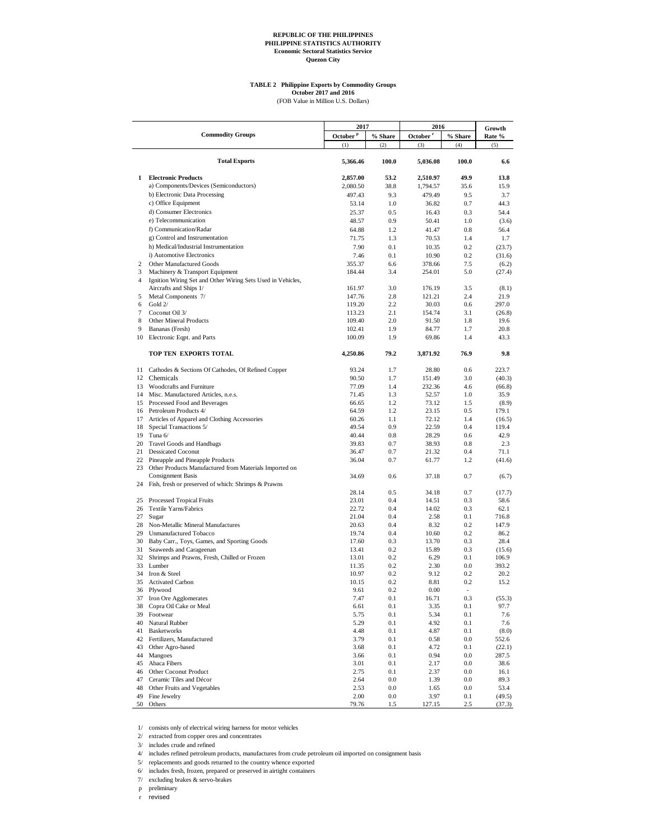# **TABLE 2 Philippine Exports by Commodity Groups October 2017 and 2016**

(FOB Value in Million U.S. Dollars)

|                | <b>Commodity Groups</b>                                                | 2017                 |            | 2016                 |            | Growth         |
|----------------|------------------------------------------------------------------------|----------------------|------------|----------------------|------------|----------------|
|                |                                                                        | October <sup>P</sup> | % Share    | October <sup>r</sup> | % Share    | Rate %         |
|                |                                                                        | (1)                  | (2)        | (3)                  | (4)        | (5)            |
|                | <b>Total Exports</b>                                                   | 5,366.46             | 100.0      | 5,036.08             | 100.0      | 6.6            |
| 1              | <b>Electronic Products</b>                                             | 2,857.00             | 53.2       | 2,510.97             | 49.9       | 13.8           |
|                | a) Components/Devices (Semiconductors)                                 | 2,080.50             | 38.8       | 1,794.57             | 35.6       | 15.9           |
|                | b) Electronic Data Processing                                          | 497.43               | 9.3        | 479.49               | 9.5        | 3.7            |
|                | c) Office Equipment                                                    | 53.14                | 1.0        | 36.82                | 0.7        | 44.3           |
|                | d) Consumer Electronics                                                | 25.37                | 0.5        | 16.43                | 0.3        | 54.4           |
|                | e) Telecommunication                                                   | 48.57                | 0.9        | 50.41                | 1.0        | (3.6)          |
|                | f) Communication/Radar                                                 | 64.88                | 1.2        | 41.47                | 0.8        | 56.4           |
|                | g) Control and Instrumentation                                         | 71.75                | 1.3        | 70.53                | 1.4        | 1.7            |
|                | h) Medical/Industrial Instrumentation                                  | 7.90                 | 0.1        | 10.35                | 0.2        | (23.7)         |
|                | i) Automotive Electronics                                              | 7.46                 | 0.1        | 10.90                | 0.2        | (31.6)         |
| 2              | Other Manufactured Goods                                               | 355.37               | 6.6        | 378.66               | 7.5        | (6.2)          |
| 3              | Machinery & Transport Equipment                                        | 184.44               | 3.4        | 254.01               | 5.0        | (27.4)         |
| $\overline{4}$ | Ignition Wiring Set and Other Wiring Sets Used in Vehicles,            |                      |            |                      |            |                |
|                | Aircrafts and Ships 1/                                                 | 161.97               | 3.0        | 176.19               | 3.5        | (8.1)          |
| 5              | Metal Components 7/                                                    | 147.76               | 2.8        | 121.21               | 2.4        | 21.9           |
| 6              | Gold 2/                                                                | 119.20               | 2.2        | 30.03                | 0.6        | 297.0          |
| $\overline{7}$ | Coconut Oil 3/                                                         | 113.23               | 2.1        | 154.74               | 3.1        | (26.8)         |
| 8              | Other Mineral Products                                                 | 109.40               | 2.0        | 91.50                | 1.8        | 19.6           |
| 9              | Bananas (Fresh)                                                        | 102.41               | 1.9        | 84.77                | 1.7        | 20.8           |
| 10             | Electronic Eqpt. and Parts                                             | 100.09               | 1.9        | 69.86                | 1.4        | 43.3           |
|                | TOP TEN EXPORTS TOTAL                                                  | 4,250.86             | 79.2       | 3,871.92             | 76.9       | 9.8            |
| 11             | Cathodes & Sections Of Cathodes, Of Refined Copper                     | 93.24                | 1.7        | 28.80                | 0.6        | 223.7          |
| 12             | Chemicals                                                              | 90.50                | 1.7        | 151.49               | 3.0        | (40.3)         |
| 13             | Woodcrafts and Furniture                                               | 77.09                | 1.4        | 232.36               | 4.6        | (66.8)         |
|                | 14 Misc. Manufactured Articles, n.e.s.                                 | 71.45                | 1.3        | 52.57                | 1.0        | 35.9           |
| 15             | Processed Food and Beverages                                           | 66.65                | 1.2        | 73.12                | 1.5        | (8.9)          |
|                | 16 Petroleum Products 4/                                               | 64.59                | 1.2        | 23.15                | 0.5        | 179.1          |
| 17             | Articles of Apparel and Clothing Accessories                           | 60.26                | 1.1        | 72.12                | 1.4        | (16.5)         |
| 18             | Special Transactions 5/                                                | 49.54                | 0.9        | 22.59                | 0.4        | 119.4          |
| 19             | Tuna 6/                                                                | 40.44                | 0.8        | 28.29                | 0.6        | 42.9           |
| 20             | <b>Travel Goods and Handbags</b>                                       | 39.83                | 0.7        | 38.93                | 0.8        | 2.3            |
| 21             | <b>Dessicated Coconut</b>                                              | 36.47                | 0.7        | 21.32                | 0.4        | 71.1           |
| 22             | Pineapple and Pineapple Products                                       | 36.04                | 0.7        | 61.77                | 1.2        | (41.6)         |
|                | 23 Other Products Manufactured from Materials Imported on              |                      |            |                      |            |                |
|                | <b>Consignment Basis</b>                                               | 34.69                | 0.6        | 37.18                | 0.7        | (6.7)          |
| 24             | Fish, fresh or preserved of which: Shrimps & Prawns                    |                      |            |                      |            |                |
|                |                                                                        | 28.14                | 0.5        | 34.18                | 0.7        | (17.7)         |
|                | 25 Processed Tropical Fruits                                           | 23.01                | 0.4        | 14.51                | 0.3        | 58.6           |
| 26             | Textile Yarns/Fabrics                                                  | 22.72                | 0.4        | 14.02                | 0.3        | 62.1           |
| 27             | Sugar                                                                  | 21.04                | 0.4        | 2.58                 | 0.1        | 716.8          |
| 28             | Non-Metallic Mineral Manufactures                                      | 20.63                | 0.4        | 8.32                 | 0.2        | 147.9          |
| 29             | <b>Unmanufactured Tobacco</b>                                          | 19.74                | 0.4        | 10.60                | 0.2        | 86.2           |
| 30<br>31       | Baby Carr., Toys, Games, and Sporting Goods<br>Seaweeds and Carageenan | 17.60<br>13.41       | 0.3<br>0.2 | 13.70<br>15.89       | 0.3<br>0.3 | 28.4<br>(15.6) |
| 32             | Shrimps and Prawns, Fresh, Chilled or Frozen                           | 13.01                | 0.2        | 6.29                 | 0.1        | 106.9          |
| 33             | Lumber                                                                 | 11.35                | 0.2        | 2.30                 | 0.0        | 393.2          |
| 34             | Iron & Steel                                                           | 10.97                | 0.2        | 9.12                 | 0.2        | 20.2           |
| 35             | <b>Activated Carbon</b>                                                | 10.15                | 0.2        | 8.81                 | 0.2        | 15.2           |
| 36             | Plywood                                                                | 9.61                 | 0.2        | 0.00                 |            |                |
| 37             | Iron Ore Agglomerates                                                  | 7.47                 | 0.1        | 16.71                | 0.3        | (55.3)         |
| 38             | Copra Oil Cake or Meal                                                 | 6.61                 | 0.1        | 3.35                 | 0.1        | 97.7           |
| 39             | Footwear                                                               | 5.75                 | 0.1        | 5.34                 | 0.1        | 7.6            |
| 40             | Natural Rubber                                                         | 5.29                 | 0.1        | 4.92                 | 0.1        | 7.6            |
| 41             | <b>Basketworks</b>                                                     | 4.48                 | 0.1        | 4.87                 | 0.1        | (8.0)          |
| 42             | Fertilizers, Manufactured                                              | 3.79                 | 0.1        | 0.58                 | 0.0        | 552.6          |
| 43             | Other Agro-based                                                       | 3.68                 | 0.1        | 4.72                 | 0.1        | (22.1)         |
| 44             | Mangoes                                                                | 3.66                 | 0.1        | 0.94                 | 0.0        | 287.5          |
| 45             | Abaca Fibers                                                           | 3.01                 | 0.1        | 2.17                 | 0.0        | 38.6           |
| 46             | Other Coconut Product                                                  | 2.75                 | 0.1        | 2.37                 | $0.0\,$    | 16.1           |
| 47             | Ceramic Tiles and Décor                                                | 2.64                 | $0.0\,$    | 1.39                 | 0.0        | 89.3           |
| 48             | Other Fruits and Vegetables                                            | 2.53                 | 0.0        | 1.65                 | $0.0\,$    | 53.4           |
| 49             | Fine Jewelry                                                           | 2.00                 | 0.0        | 3.97                 | 0.1        | (49.5)         |
|                | 50 Others                                                              | 79.76                | 1.5        | 127.15               | 2.5        | (37.3)         |

1/ consists only of electrical wiring harness for motor vehicles

2/ extracted from copper ores and concentrates

3/ includes crude and refined

4/ includes refined petroleum products, manufactures from crude petroleum oil imported on consignment basis

5/ replacements and goods returned to the country whence exported

6/ includes fresh, frozen, prepared or preserved in airtight containers

7/ excluding brakes & servo-brakes

p preliminary

r revised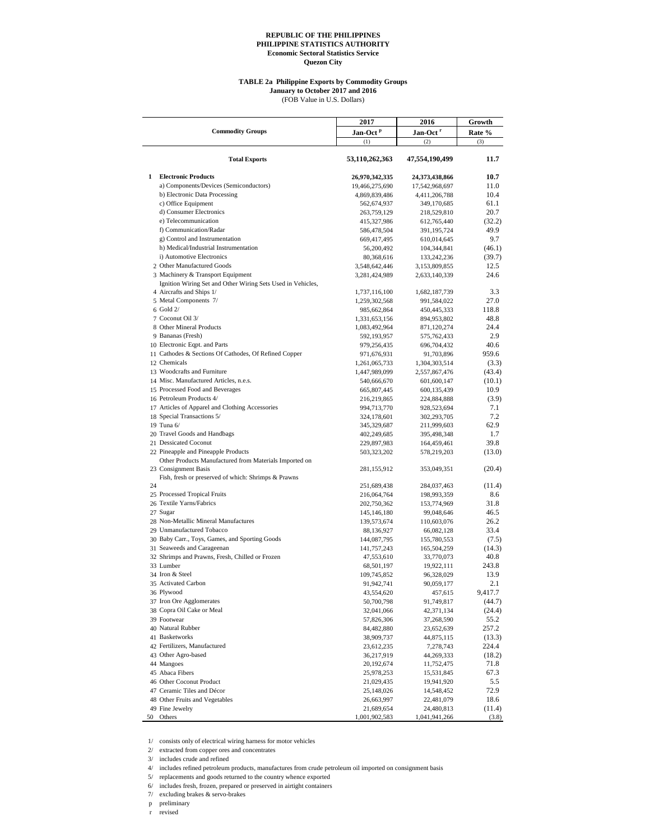#### **TABLE 2a Philippine Exports by Commodity Groups**

**January to October 2017 and 2016**

(FOB Value in U.S. Dollars)

|    |                                                                                                  | 2017                 | 2016                 | Growth  |  |
|----|--------------------------------------------------------------------------------------------------|----------------------|----------------------|---------|--|
|    | <b>Commodity Groups</b>                                                                          | Jan-Oct <sup>P</sup> | Jan-Oct <sup>r</sup> | Rate %  |  |
|    |                                                                                                  | (1)                  | (2)                  | (3)     |  |
|    | <b>Total Exports</b>                                                                             | 53,110,262,363       | 47,554,190,499       | 11.7    |  |
| 1  | <b>Electronic Products</b>                                                                       | 26,970,342,335       | 24,373,438,866       | 10.7    |  |
|    | a) Components/Devices (Semiconductors)                                                           | 19,466,275,690       | 17,542,968,697       | 11.0    |  |
|    | b) Electronic Data Processing                                                                    | 4,869,839,486        | 4,411,206,788        | 10.4    |  |
|    | c) Office Equipment                                                                              | 562,674,937          | 349,170,685          | 61.1    |  |
|    | d) Consumer Electronics                                                                          |                      |                      | 20.7    |  |
|    |                                                                                                  | 263,759,129          | 218,529,810          |         |  |
|    | e) Telecommunication                                                                             | 415,327,986          | 612,765,440          | (32.2)  |  |
|    | f) Communication/Radar                                                                           | 586,478,504          | 391,195,724          | 49.9    |  |
|    | g) Control and Instrumentation                                                                   | 669,417,495          | 610,014,645          | 9.7     |  |
|    | h) Medical/Industrial Instrumentation                                                            | 56,200,492           | 104,344,841          | (46.1)  |  |
|    | i) Automotive Electronics                                                                        | 80,368,616           | 133,242,236          | (39.7)  |  |
|    | 2 Other Manufactured Goods                                                                       | 3,548,642,446        | 3,153,809,855        | 12.5    |  |
|    | 3 Machinery & Transport Equipment<br>Ignition Wiring Set and Other Wiring Sets Used in Vehicles, | 3,281,424,989        | 2,633,140,339        | 24.6    |  |
|    | 4 Aircrafts and Ships 1/                                                                         | 1,737,116,100        | 1,682,187,739        | 3.3     |  |
|    | 5 Metal Components 7/                                                                            | 1,259,302,568        | 991,584,022          | 27.0    |  |
|    | $6$ Gold $2/$                                                                                    | 985,662,864          | 450,445,333          | 118.8   |  |
|    | 7 Coconut Oil 3/                                                                                 | 1,331,653,156        | 894,953,802          | 48.8    |  |
|    | 8 Other Mineral Products                                                                         | 1,083,492,964        | 871,120,274          | 24.4    |  |
|    | 9 Bananas (Fresh)                                                                                | 592,193,957          | 575,762,433          | 2.9     |  |
|    | 10 Electronic Eqpt. and Parts                                                                    | 979,256,435          | 696,704,432          | 40.6    |  |
|    | 11 Cathodes & Sections Of Cathodes, Of Refined Copper                                            | 971,676,931          | 91,703,896           | 959.6   |  |
|    | 12 Chemicals                                                                                     | 1,261,065,733        | 1,304,303,514        | (3.3)   |  |
|    | 13 Woodcrafts and Furniture                                                                      | 1,447,989,099        | 2,557,867,476        | (43.4)  |  |
|    | 14 Misc. Manufactured Articles, n.e.s.                                                           | 540,666,670          | 601,600,147          | (10.1)  |  |
|    | 15 Processed Food and Beverages                                                                  | 665,807,445          | 600,135,439          | 10.9    |  |
|    | 16 Petroleum Products 4/                                                                         | 216,219,865          | 224,884,888          | (3.9)   |  |
|    | 17 Articles of Apparel and Clothing Accessories                                                  | 994,713,770          | 928,523,694          | 7.1     |  |
|    | 18 Special Transactions 5/                                                                       | 324,178,601          | 302,293,705          | 7.2     |  |
|    | 19 Tuna 6/                                                                                       |                      |                      | 62.9    |  |
|    | 20 Travel Goods and Handbags                                                                     | 345,329,687          | 211,999,603          | 1.7     |  |
|    | 21 Dessicated Coconut                                                                            | 402,249,685          | 395,498,348          | 39.8    |  |
|    |                                                                                                  | 229,897,983          | 164,459,461          |         |  |
|    | 22 Pineapple and Pineapple Products<br>Other Products Manufactured from Materials Imported on    | 503,323,202          | 578,219,203          | (13.0)  |  |
|    | 23 Consignment Basis                                                                             | 281,155,912          | 353,049,351          | (20.4)  |  |
| 24 | Fish, fresh or preserved of which: Shrimps & Prawns                                              | 251,689,438          | 284,037,463          | (11.4)  |  |
|    | 25 Processed Tropical Fruits                                                                     |                      |                      | 8.6     |  |
|    | 26 Textile Yarns/Fabrics                                                                         | 216,064,764          | 198,993,359          |         |  |
|    |                                                                                                  | 202,750,362          | 153,774,969          | 31.8    |  |
|    | 27 Sugar                                                                                         | 145,146,180          | 99,048,646           | 46.5    |  |
|    | 28 Non-Metallic Mineral Manufactures                                                             | 139,573,674          | 110,603,076          | 26.2    |  |
|    | 29 Unmanufactured Tobacco                                                                        | 88,136,927           | 66,082,128           | 33.4    |  |
|    | 30 Baby Carr., Toys, Games, and Sporting Goods                                                   | 144,087,795          | 155,780,553          | (7.5)   |  |
|    | 31 Seaweeds and Carageenan                                                                       | 141,757,243          | 165,504,259          | (14.3)  |  |
|    | 32 Shrimps and Prawns, Fresh, Chilled or Frozen                                                  | 47,553,610           | 33,770,073           | 40.8    |  |
|    | 33 Lumber                                                                                        | 68,501,197           | 19,922,111           | 243.8   |  |
|    | 34 Iron & Steel                                                                                  | 109,745,852          | 96,328,029           | 13.9    |  |
|    | 35 Activated Carbon                                                                              | 91,942,741           | 90,059,177           | 2.1     |  |
|    | 36 Plywood                                                                                       | 43,554,620           | 457,615              | 9,417.7 |  |
|    | 37 Iron Ore Agglomerates                                                                         | 50,700,798           | 91,749,817           | (44.7)  |  |
|    | 38 Copra Oil Cake or Meal                                                                        | 32,041,066           | 42,371,134           | (24.4)  |  |
|    | 39 Footwear                                                                                      | 57,826,306           | 37,268,590           | 55.2    |  |
|    | 40 Natural Rubber                                                                                | 84,482,880           | 23,652,639           | 257.2   |  |
|    | 41 Basketworks                                                                                   | 38,909,737           | 44,875,115           | (13.3)  |  |
|    | 42 Fertilizers, Manufactured                                                                     | 23,612,235           | 7,278,743            | 224.4   |  |
|    | 43 Other Agro-based                                                                              | 36,217,919           | 44,269,333           | (18.2)  |  |
|    | 44 Mangoes                                                                                       | 20,192,674           | 11,752,475           | 71.8    |  |
|    | 45 Abaca Fibers                                                                                  | 25,978,253           | 15,531,845           | 67.3    |  |
|    | 46 Other Coconut Product                                                                         |                      |                      | 5.5     |  |
|    | 47 Ceramic Tiles and Décor                                                                       | 21,029,435           | 19,941,920           |         |  |
|    |                                                                                                  | 25,148,026           | 14,548,452           | 72.9    |  |
|    | 48 Other Fruits and Vegetables                                                                   | 26,663,997           | 22,481,079           | 18.6    |  |
|    | 49 Fine Jewelry                                                                                  | 21,689,654           | 24,480,813           | (11.4)  |  |
| 50 | Others                                                                                           | 1,001,902,583        | 1,041,941,266        | (3.8)   |  |

1/ consists only of electrical wiring harness for motor vehicles

2/ extracted from copper ores and concentrates

3/ includes crude and refined

4/ includes refined petroleum products, manufactures from crude petroleum oil imported on consignment basis

5/ replacements and goods returned to the country whence exported

6/ includes fresh, frozen, prepared or preserved in airtight containers

7/ excluding brakes & servo-brakes

p preliminary r revised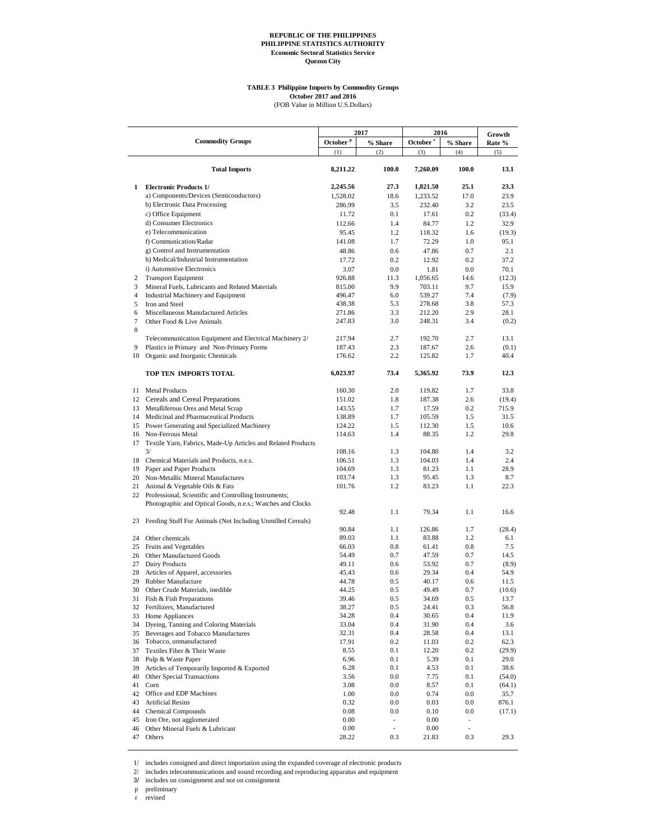#### **TABLE 3 Philippine Imports by Commodity Groups October 2017 and 2016**

(FOB Value in Million U.S.Dollars)

|                     | <b>Commodity Groups</b>                                            |                                | 2017                     | 2016                        |                          | Growth         |
|---------------------|--------------------------------------------------------------------|--------------------------------|--------------------------|-----------------------------|--------------------------|----------------|
|                     |                                                                    | October $^{\mathrm{p}}$<br>(1) | % Share<br>(2)           | October <sup>r</sup><br>(3) | % Share<br>(4)           | Rate %<br>(5)  |
|                     |                                                                    |                                |                          |                             |                          |                |
|                     | <b>Total Imports</b>                                               | 8,211.22                       | 100.0                    | 7,260.09                    | 100.0                    | 13.1           |
| $\mathbf{1}$        | <b>Electronic Products 1/</b>                                      | 2,245.56                       | 27.3                     | 1,821.50                    | 25.1                     | 23.3           |
|                     | a) Components/Devices (Semiconductors)                             | 1,528.02                       | 18.6                     | 1,233.52                    | 17.0                     | 23.9           |
|                     | b) Electronic Data Processing                                      | 286.99                         | 3.5                      | 232.40                      | 3.2                      | 23.5           |
|                     | c) Office Equipment                                                | 11.72                          | 0.1                      | 17.61                       | 0.2                      | (33.4)         |
|                     | d) Consumer Electronics                                            | 112.66                         | 1.4                      | 84.77                       | 1.2                      | 32.9           |
|                     | e) Telecommunication                                               | 95.45                          | 1.2                      | 118.32                      | 1.6                      | (19.3)         |
|                     | f) Communication/Radar                                             | 141.08                         | 1.7                      | 72.29                       | 1.0                      | 95.1           |
|                     | g) Control and Instrumentation                                     | 48.86                          | 0.6                      | 47.86                       | 0.7                      | 2.1            |
|                     | h) Medical/Industrial Instrumentation                              | 17.72                          | 0.2                      | 12.92                       | 0.2                      | 37.2           |
|                     | i) Automotive Electronics                                          | 3.07                           | 0.0                      | 1.81                        | 0.0                      | 70.1           |
| $\overline{c}$      | <b>Transport Equipment</b>                                         | 926.88                         | 11.3                     | 1,056.65                    | 14.6                     | (12.3)         |
| 3                   | Mineral Fuels, Lubricants and Related Materials                    | 815.00                         | 9.9<br>6.0               | 703.11                      | 9.7<br>7.4               | 15.9           |
| $\overline{4}$<br>5 | Industrial Machinery and Equipment<br>Iron and Steel               | 496.47<br>438.38               | 5.3                      | 539.27<br>278.68            | 3.8                      | (7.9)<br>57.3  |
| 6                   | Miscellaneous Manufactured Articles                                | 271.86                         | 3.3                      | 212.20                      | 2.9                      | 28.1           |
| 7                   | Other Food & Live Animals                                          | 247.83                         | 3.0                      | 248.31                      | 3.4                      | (0.2)          |
| 8                   |                                                                    |                                |                          |                             |                          |                |
|                     | Telecommunication Equipment and Electrical Machinery 2/            | 217.94                         | 2.7                      | 192.70                      | 2.7                      | 13.1           |
| 9                   | Plastics in Primary and Non-Primary Forms                          | 187.43                         | 2.3                      | 187.67                      | 2.6                      | (0.1)          |
| 10                  | Organic and Inorganic Chemicals                                    | 176.62                         | 2.2                      | 125.82                      | 1.7                      | 40.4           |
|                     | TOP TEN IMPORTS TOTAL                                              | 6,023.97                       | 73.4                     | 5,365.92                    | 73.9                     | 12.3           |
|                     | 11 Metal Products                                                  | 160.30                         | 2.0                      | 119.82                      | 1.7                      | 33.8           |
|                     | 12 Cereals and Cereal Preparations                                 | 151.02                         | 1.8                      | 187.38                      | 2.6                      | (19.4)         |
| 13                  | Metalliferous Ores and Metal Scrap                                 | 143.55                         | 1.7                      | 17.59                       | 0.2                      | 715.9          |
| 14                  | Medicinal and Pharmaceutical Products                              | 138.89                         | 1.7                      | 105.59                      | 1.5                      | 31.5           |
|                     | 15 Power Generating and Specialized Machinery                      | 124.22                         | 1.5                      | 112.30                      | 1.5                      | 10.6           |
|                     | 16 Non-Ferrous Metal                                               | 114.63                         | 1.4                      | 88.35                       | 1.2                      | 29.8           |
| 17                  | Textile Yarn, Fabrics, Made-Up Articles and Related Products<br>3/ | 108.16                         | 1.3                      | 104.80                      | 1.4                      | 3.2            |
|                     | 18 Chemical Materials and Products, n.e.s.                         | 106.51                         | 1.3                      | 104.03                      | 1.4                      | 2.4            |
| 19                  | Paper and Paper Products                                           | 104.69                         | 1.3                      | 81.23                       | 1.1                      | 28.9           |
| 20                  | Non-Metallic Mineral Manufactures                                  | 103.74                         | 1.3                      | 95.45                       | 1.3                      | 8.7            |
| 21                  | Animal & Vegetable Oils & Fats                                     | 101.76                         | 1.2                      | 83.23                       | 1.1                      | 22.3           |
|                     | 22 Professional, Scientific and Controlling Instruments;           |                                |                          |                             |                          |                |
|                     | Photographic and Optical Goods, n.e.s.; Watches and Clocks         |                                |                          |                             |                          |                |
|                     | 23 Feeding Stuff For Animals (Not Including Unmilled Cereals)      | 92.48                          | 1.1                      | 79.34                       | 1.1                      | 16.6           |
|                     |                                                                    | 90.84                          | 1.1                      | 126.86                      | 1.7                      | (28.4)         |
| 24                  | Other chemicals                                                    | 89.03                          | 1.1                      | 83.88                       | 1.2                      | 6.1            |
| 25                  | Fruits and Vegetables                                              | 66.03                          | 0.8                      | 61.41                       | 0.8                      | 7.5            |
| 26                  | Other Manufactured Goods                                           | 54.49                          | 0.7                      | 47.59                       | 0.7                      | 14.5           |
| 27                  | Dairy Products                                                     | 49.11                          | 0.6                      | 53.92                       | 0.7                      | (8.9)          |
| 28                  | Articles of Apparel, accessories                                   | 45.43                          | 0.6                      | 29.34                       | 0.4                      | 54.9           |
| 29<br>30            | Rubber Manufacture                                                 | 44.78                          | 0.5<br>0.5               | 40.17                       | 0.6<br>0.7               | 11.5           |
|                     | Other Crude Materials, inedible<br>31 Fish & Fish Preparations     | 44.25                          | $0.5\,$                  | 49.49                       | 0.5                      | (10.6)         |
|                     | 32 Fertilizers, Manufactured                                       | 39.46<br>38.27                 | $0.5\,$                  | 34.69<br>24.41              | 0.3                      | 13.7<br>56.8   |
| 33                  | Home Appliances                                                    | 34.28                          | 0.4                      | 30.65                       | 0.4                      | 11.9           |
| 34                  | Dyeing, Tanning and Coloring Materials                             | 33.04                          | 0.4                      | 31.90                       | 0.4                      | 3.6            |
| 35                  | Beverages and Tobacco Manufactures                                 | 32.31                          | 0.4                      | 28.58                       | 0.4                      | 13.1           |
| 36                  | Tobacco, unmanufactured                                            | 17.91                          | 0.2                      | 11.03                       | 0.2                      | 62.3           |
| 37                  | Textiles Fiber & Their Waste                                       | 8.55                           | 0.1                      | 12.20                       | 0.2                      | (29.9)         |
| 38                  | Pulp & Waste Paper                                                 | 6.96                           | 0.1                      | 5.39                        | 0.1                      | 29.0           |
| 39                  | Articles of Temporarily Imported & Exported                        | 6.28                           | 0.1                      | 4.53                        | 0.1                      | 38.6           |
| 40<br>41            | Other Special Transactions<br>Corn                                 | 3.56<br>3.08                   | $0.0\,$<br>$0.0\,$       | 7.75                        | 0.1                      | (54.0)         |
| 42                  | Office and EDP Machines                                            | 1.00                           | $0.0\,$                  | 8.57<br>0.74                | 0.1<br>0.0               | (64.1)<br>35.7 |
| 43                  | <b>Artificial Resins</b>                                           | 0.32                           | 0.0                      | 0.03                        | 0.0                      | 876.1          |
| 44                  | <b>Chemical Compounds</b>                                          | 0.08                           | 0.0                      | 0.10                        | $0.0\,$                  | (17.1)         |
| 45                  | Iron Ore, not agglomerated                                         | 0.00                           | $\overline{\phantom{a}}$ | 0.00                        | $\overline{\phantom{a}}$ |                |
| 46                  | Other Mineral Fuels & Lubricant                                    | 0.00                           | $\overline{\phantom{0}}$ | 0.00                        |                          |                |
| 47                  | Others                                                             | 28.22                          | 0.3                      | 21.83                       | 0.3                      | 29.3           |

1/ includes consigned and direct importation using the expanded coverage of electronic products

2/ includes telecommunications and sound recording and reproducing apparatus and equipment

3/ includes on consignment and not on consignment

p preliminary

r revised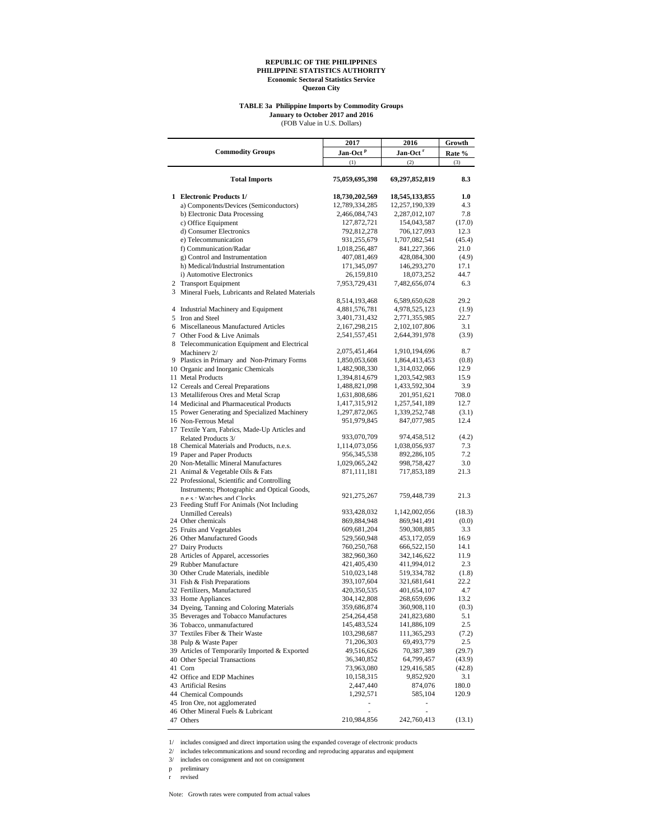#### **TABLE 3a Philippine Imports by Commodity Groups January to October 2017 and 2016**

(FOB Value in U.S. Dollars)

|                                                                       | 2017                 | 2016                 | Growth |
|-----------------------------------------------------------------------|----------------------|----------------------|--------|
| <b>Commodity Groups</b>                                               | Jan-Oct <sup>P</sup> | Jan-Oct <sup>r</sup> | Rate % |
|                                                                       | (1)                  | (2)                  | (3)    |
| <b>Total Imports</b>                                                  | 75,059,695,398       | 69,297,852,819       | 8.3    |
| 1 Electronic Products 1/                                              | 18,730,202,569       | 18,545,133,855       | 1.0    |
| a) Components/Devices (Semiconductors)                                | 12,789,334,285       | 12,257,190,339       | 4.3    |
| b) Electronic Data Processing                                         | 2,466,084,743        | 2,287,012,107        | 7.8    |
| c) Office Equipment                                                   | 127,872,721          | 154,043,587          | (17.0) |
| d) Consumer Electronics                                               | 792,812,278          | 706,127,093          | 12.3   |
| e) Telecommunication                                                  | 931,255,679          | 1,707,082,541        | (45.4) |
| f) Communication/Radar                                                | 1,018,256,487        | 841,227,366          | 21.0   |
| g) Control and Instrumentation                                        | 407,081,469          | 428,084,300          | (4.9)  |
| h) Medical/Industrial Instrumentation                                 | 171,345,097          | 146,293,270          | 17.1   |
| i) Automotive Electronics                                             | 26,159,810           | 18,073,252           | 44.7   |
| 2 Transport Equipment                                                 | 7,953,729,431        | 7,482,656,074        | 6.3    |
| 3 Mineral Fuels, Lubricants and Related Materials                     |                      |                      |        |
|                                                                       | 8,514,193,468        | 6,589,650,628        | 29.2   |
| 4 Industrial Machinery and Equipment                                  | 4,881,576,781        | 4,978,525,123        | (1.9)  |
| 5 Iron and Steel                                                      | 3,401,731,432        | 2,771,355,985        | 22.7   |
| 6 Miscellaneous Manufactured Articles                                 | 2,167,298,215        | 2,102,107,806        | 3.1    |
| 7 Other Food & Live Animals                                           | 2,541,557,451        | 2,644,391,978        | (3.9)  |
| 8 Telecommunication Equipment and Electrical                          |                      |                      |        |
| Machinery 2/                                                          | 2,075,451,464        | 1,910,194,696        | 8.7    |
| 9 Plastics in Primary and Non-Primary Forms                           | 1,850,053,608        | 1,864,413,453        | (0.8)  |
| 10 Organic and Inorganic Chemicals                                    | 1,482,908,330        | 1,314,032,066        | 12.9   |
| 11 Metal Products                                                     | 1,394,814,679        | 1,203,542,983        | 15.9   |
| 12 Cereals and Cereal Preparations                                    | 1,488,821,098        | 1,433,592,304        | 3.9    |
| 13 Metalliferous Ores and Metal Scrap                                 | 1,631,808,686        | 201,951,621          | 708.0  |
| 14 Medicinal and Pharmaceutical Products                              | 1,417,315,912        | 1,257,541,189        | 12.7   |
|                                                                       |                      |                      | (3.1)  |
| 15 Power Generating and Specialized Machinery<br>16 Non-Ferrous Metal | 1,297,872,065        | 1,339,252,748        | 12.4   |
|                                                                       | 951,979,845          | 847,077,985          |        |
| 17 Textile Yarn, Fabrics, Made-Up Articles and                        | 933,070,709          | 974,458,512          | (4.2)  |
| Related Products 3/<br>18 Chemical Materials and Products, n.e.s.     | 1,114,073,056        | 1,038,056,937        | 7.3    |
|                                                                       | 956, 345, 538        |                      | 7.2    |
| 19 Paper and Paper Products                                           |                      | 892,286,105          | 3.0    |
| 20 Non-Metallic Mineral Manufactures                                  | 1,029,065,242        | 998,758,427          |        |
| 21 Animal & Vegetable Oils & Fats                                     | 871,111,181          | 717,853,189          | 21.3   |
| 22 Professional, Scientific and Controlling                           |                      |                      |        |
| Instruments; Photographic and Optical Goods,                          | 921, 275, 267        | 759,448,739          | 21.3   |
| n e.s. Watches and Clocks                                             |                      |                      |        |
| 23 Feeding Stuff For Animals (Not Including                           | 933,428,032          | 1,142,002,056        | (18.3) |
| <b>Unmilled Cereals)</b><br>24 Other chemicals                        | 869,884,948          | 869,941,491          | (0.0)  |
|                                                                       |                      |                      | 3.3    |
| 25 Fruits and Vegetables                                              | 609,681,204          | 590,308,885          | 16.9   |
| 26 Other Manufactured Goods                                           | 529,560,948          | 453,172,059          |        |
| 27 Dairy Products                                                     | 760,250,768          | 666,522,150          | 14.1   |
| 28 Articles of Apparel, accessories                                   | 382,960,360          | 342,146,622          | 11.9   |
| 29 Rubber Manufacture                                                 | 421,405,430          | 411,994,012          | 2.3    |
| 30 Other Crude Materials, inedible                                    | 510,023,148          | 519,334,782          | (1.8)  |
| 31 Fish & Fish Preparations                                           | 393,107,604          | 321,681,641          | 22.2   |
| 32 Fertilizers, Manufactured                                          | 420,350,535          | 401,654,107          | 4.7    |
| 33 Home Appliances                                                    | 304, 142, 808        | 268,659,696          | 13.2   |
| 34 Dyeing, Tanning and Coloring Materials                             | 359,686,874          | 360,908,110          | (0.3)  |
| 35 Beverages and Tobacco Manufactures                                 | 254, 264, 458        | 241,823,680          | 5.1    |
| 36 Tobacco, unmanufactured                                            | 145,483,524          | 141,886,109          | 2.5    |
| 37 Textiles Fiber & Their Waste                                       | 103,298,687          | 111,365,293          | (7.2)  |
| 38 Pulp & Waste Paper                                                 | 71,206,303           | 69,493,779           | 2.5    |
| 39 Articles of Temporarily Imported & Exported                        | 49,516,626           | 70,387,389           | (29.7) |
| 40 Other Special Transactions                                         | 36,340,852           | 64,799,457           | (43.9) |
| 41 Corn                                                               | 73,963,080           | 129,416,585          | (42.8) |
| 42 Office and EDP Machines                                            | 10,158,315           | 9,852,920            | 3.1    |
| 43 Artificial Resins                                                  | 2,447,440            | 874,076              | 180.0  |
| 44 Chemical Compounds                                                 | 1,292,571            | 585,104              | 120.9  |
| 45 Iron Ore, not agglomerated                                         |                      |                      |        |
| 46 Other Mineral Fuels & Lubricant                                    |                      |                      |        |
| 47 Others                                                             | 210,984,856          | 242,760,413          | (13.1) |

1/ includes consigned and direct importation using the expanded coverage of electronic products

2/ includes telecommunications and sound recording and reproducing apparatus and equipment

3/ includes on consignment and not on consignment

p preliminary

r revised

Note: Growth rates were computed from actual values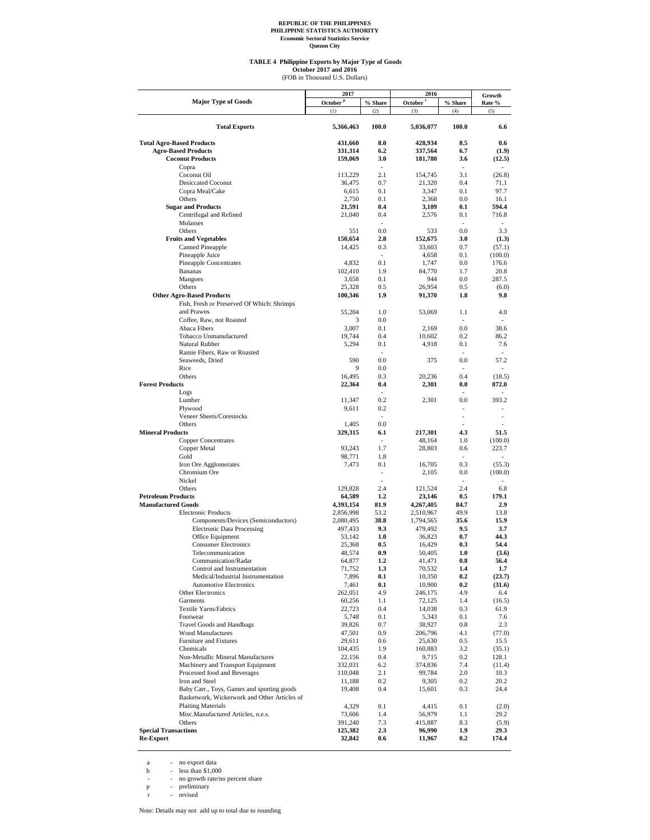#### **TABLE 4 Philippine Exports by Major Type of Goods**

October 2017 and 2016<br>(FOB in Thousand U.S. Dollars)

|                                                                                | 2017                 |                          | 2016                 |                          | Growth                 |
|--------------------------------------------------------------------------------|----------------------|--------------------------|----------------------|--------------------------|------------------------|
| <b>Major Type of Goods</b>                                                     | October <sup>p</sup> | % Share                  | October <sup>r</sup> | % Share                  | Rate %                 |
|                                                                                | (1)                  | (2)                      | (3)                  | (4)                      | (5)                    |
| <b>Total Exports</b>                                                           | 5,366,463            | 100.0                    | 5,036,077            | 100.0                    | 6.6                    |
| <b>Total Agro-Based Products</b>                                               | 431,660              | 8.0                      | 428,934              | 8.5                      | 0.6                    |
| <b>Agro-Based Products</b>                                                     | 331,314              | 6.2                      | 337,564              | 6.7                      | (1.9)                  |
| <b>Coconut Products</b>                                                        | 159,069              | 3.0                      | 181,780              | 3.6                      | (12.5)                 |
| Copra                                                                          |                      | $\overline{\phantom{a}}$ |                      | $\overline{\phantom{a}}$ |                        |
| Coconut Oil<br><b>Desiccated Coconut</b>                                       | 113,229<br>36,475    | 2.1<br>0.7               | 154,745<br>21,320    | 3.1<br>0.4               | (26.8)<br>71.1         |
| Copra Meal/Cake                                                                | 6,615                | 0.1                      | 3,347                | 0.1                      | 97.7                   |
| Others                                                                         | 2,750                | 0.1                      | 2.368                | 0.0                      | 16.1                   |
| <b>Sugar and Products</b>                                                      | 21,591               | 0.4                      | 3,109                | 0.1                      | 594.4                  |
| Centrifugal and Refined                                                        | 21,040               | 0.4                      | 2,576                | 0.1                      | 716.8                  |
| Molasses<br>Others                                                             |                      | $\sim$                   |                      | $\overline{\phantom{a}}$ |                        |
| <b>Fruits and Vegetables</b>                                                   | 551<br>150,654       | 0.0<br>2.8               | 533<br>152,675       | 0.0<br>3.0               | 3.3<br>(1.3)           |
| Canned Pineapple                                                               | 14,425               | 0.3                      | 33,603               | 0.7                      | (57.1)                 |
| Pineapple Juice                                                                |                      | $\sim$                   | 4,658                | 0.1                      | (100.0)                |
| Pineapple Concentrates                                                         | 4,832                | 0.1                      | 1,747                | 0.0                      | 176.6                  |
| <b>Bananas</b>                                                                 | 102,410              | 1.9                      | 84,770               | 1.7                      | 20.8                   |
| Mangoes                                                                        | 3,658                | 0.1                      | 944                  | 0.0                      | 287.5                  |
| Others                                                                         | 25,328               | 0.5<br>1.9               | 26,954               | 0.5<br>1.8               | (6.0)<br>9.8           |
| <b>Other Agro-Based Products</b><br>Fish, Fresh or Preserved Of Which: Shrimps | 100,346              |                          | 91,370               |                          |                        |
| and Prawns                                                                     | 55,204               | 1.0                      | 53,069               | 1.1                      | 4.0                    |
| Coffee, Raw, not Roasted                                                       | 3                    | 0.0                      |                      | $\sim$                   |                        |
| Abaca Fibers                                                                   | 3,007                | 0.1                      | 2,169                | 0.0                      | 38.6                   |
| Tobacco Unmanufactured                                                         | 19,744               | 0.4                      | 10,602               | 0.2                      | 86.2                   |
| Natural Rubber                                                                 | 5,294                | 0.1                      | 4,918                | 0.1                      | 7.6                    |
| Ramie Fibers, Raw or Roasted<br>Seaweeds, Dried                                | 590                  | $\overline{a}$<br>0.0    | 375                  | $\overline{a}$<br>0.0    | $\overline{a}$<br>57.2 |
| Rice                                                                           | 9                    | 0.0                      |                      | ٠                        | $\overline{a}$         |
| Others                                                                         | 16,495               | 0.3                      | 20,236               | 0.4                      | (18.5)                 |
| <b>Forest Products</b>                                                         | 22,364               | 0.4                      | 2,301                | 0.0                      | 872.0                  |
| Logs                                                                           |                      |                          |                      |                          |                        |
| Lumber                                                                         | 11,347               | 0.2                      | 2,301                | 0.0                      | 393.2                  |
| Plywood                                                                        | 9,611                | 0.2                      |                      |                          |                        |
| Veneer Sheets/Corestocks<br>Others                                             | 1,405                | $\overline{a}$<br>0.0    |                      | $\overline{\phantom{a}}$ | $\overline{a}$         |
| <b>Mineral Products</b>                                                        | 329,315              | 6.1                      | 217,301              | 4.3                      | 51.5                   |
| <b>Copper Concentrates</b>                                                     |                      |                          | 48,164               | 1.0                      | (100.0)                |
| Copper Metal                                                                   | 93,243               | 1.7                      | 28,803               | 0.6                      | 223.7                  |
| Gold                                                                           | 98,771               | 1.8                      |                      |                          |                        |
| Iron Ore Agglomerates                                                          | 7,473                | 0.1<br>$\overline{a}$    | 16,705               | 0.3                      | (55.3)                 |
| Chromium Ore<br>Nickel                                                         |                      | $\overline{a}$           | 2,105                | 0.0<br>$\overline{a}$    | (100.0)                |
| Others                                                                         | 129,828              | 2.4                      | 121,524              | 2.4                      | 6.8                    |
| <b>Petroleum Products</b>                                                      | 64,589               | $1.2\phantom{0}$         | 23,146               | 0.5                      | 179.1                  |
| <b>Manufactured Goods</b>                                                      | 4,393,154            | 81.9                     | 4,267,405            | 84.7                     | 2.9                    |
| <b>Electronic Products</b>                                                     | 2,856,998            | 53.2                     | 2,510,967            | 49.9                     | 13.8                   |
| Components/Devices (Semiconductors)                                            | 2,080,495            | 38.8                     | 1,794,565            | 35.6                     | 15.9                   |
| <b>Electronic Data Processing</b><br>Office Equipment                          | 497,433<br>53,142    | 9.3<br>1.0               | 479,492<br>36,823    | 9.5<br>0.7               | 3.7<br>44.3            |
| <b>Consumer Electronics</b>                                                    | 25,368               | 0.5                      | 16,429               | 0.3                      | 54.4                   |
| Telecommunication                                                              | 48,574               | 0.9                      | 50,405               | 1.0                      | (3.6)                  |
| Communication/Radar                                                            | 64,877               | 1.2                      | 41,471               | 0.8                      | 56.4                   |
| Control and Instrumentation                                                    | 71,752               | 1.3                      | 70,532               | 1.4                      | 1.7                    |
| Medical/Industrial Instrumentation                                             | 7,896                | 0.1                      | 10,350               | 0.2                      | (23.7)                 |
| <b>Automotive Electronics</b><br>Other Electronics                             | 7,461<br>262,051     | 0.1<br>4.9               | 10,900<br>246,175    | 0.2<br>4.9               | (31.6)<br>6.4          |
| Garments                                                                       | 60,256               | $1.1\,$                  | 72,125               | 1.4                      | (16.5)                 |
| Textile Yarns/Fabrics                                                          | 22,723               | 0.4                      | 14,038               | 0.3                      | 61.9                   |
| Footwear                                                                       | 5,748                | 0.1                      | 5,343                | 0.1                      | 7.6                    |
| Travel Goods and Handbags                                                      | 39,826               | 0.7                      | 38,927               | 0.8                      | 2.3                    |
| <b>Wood Manufactures</b>                                                       | 47,501               | 0.9                      | 206,796              | 4.1                      | (77.0)                 |
| Furniture and Fixtures<br>Chemicals                                            | 29,611               | 0.6                      | 25,630               | $0.5\,$                  | 15.5                   |
| Non-Metallic Mineral Manufactures                                              | 104,435<br>22,156    | 1.9<br>$0.4\,$           | 160,883<br>9,715     | 3.2<br>0.2               | (35.1)<br>128.1        |
| Machinery and Transport Equipment                                              | 332,031              | 6.2                      | 374,836              | 7.4                      | (11.4)                 |
| Processed food and Beverages                                                   | 110,048              | 2.1                      | 99,784               | 2.0                      | 10.3                   |
| Iron and Steel                                                                 | 11,188               | 0.2                      | 9,305                | 0.2                      | 20.2                   |
| Baby Carr., Toys, Games and sporting goods                                     | 19,408               | $0.4\,$                  | 15,601               | 0.3                      | 24.4                   |
| Basketwork, Wickerwork and Other Articles of                                   |                      |                          |                      |                          |                        |
| <b>Plaiting Materials</b>                                                      | 4,329                | 0.1                      | 4,415                | 0.1                      | (2.0)                  |
| Misc.Manufactured Articles, n.e.s.<br>Others                                   | 73,606               | 1.4<br>7.3               | 56,979               | 1.1                      | 29.2                   |
| <b>Special Transactions</b>                                                    | 391,240<br>125,382   | 2.3                      | 415,887<br>96,990    | 8.3<br>1.9               | (5.9)<br>29.3          |
| <b>Re-Export</b>                                                               | 32,842               | $0.6\,$                  | 11,967               | 0.2                      | 174.4                  |

a - no export data<br>
b - less than \$1,000<br>
- no growth rate/no percent share<br>
p - preliminary<br>
r - revised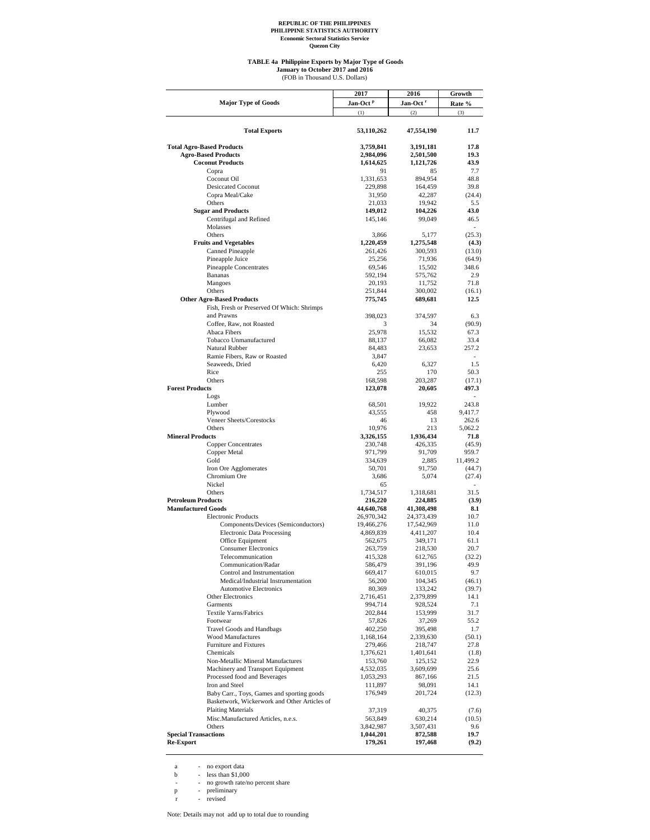#### **TABLE 4a Philippine Exports by Major Type of Goods**

(FOB in Thousand U.S. Dollars) **January to October 2017 and 2016**

|                                                                                            | 2017                 | 2016                 | Growth                  |  |
|--------------------------------------------------------------------------------------------|----------------------|----------------------|-------------------------|--|
| <b>Major Type of Goods</b>                                                                 | Jan-Oct <sup>P</sup> | Jan-Oct <sup>r</sup> | Rate %                  |  |
|                                                                                            | (1)                  | (2)                  | (3)                     |  |
|                                                                                            |                      |                      |                         |  |
| <b>Total Exports</b>                                                                       | 53,110,262           | 47,554,190           | 11.7                    |  |
|                                                                                            |                      |                      |                         |  |
| <b>Total Agro-Based Products</b>                                                           | 3,759,841            | 3,191,181            | 17.8                    |  |
| <b>Agro-Based Products</b>                                                                 | 2,984,096            | 2,501,500            | 19.3                    |  |
| <b>Coconut Products</b><br>Copra                                                           | 1,614,625<br>91      | 1,121,726<br>85      | 43.9<br>7.7             |  |
| Coconut Oil                                                                                | 1,331,653            | 894,954              | 48.8                    |  |
| <b>Desiccated Coconut</b>                                                                  | 229,898              | 164,459              | 39.8                    |  |
| Copra Meal/Cake                                                                            | 31,950               | 42,287               | (24.4)                  |  |
| Others                                                                                     | 21,033               | 19,942               | 5.5                     |  |
| <b>Sugar and Products</b>                                                                  | 149,012              | 104,226              | 43.0                    |  |
| Centrifugal and Refined                                                                    | 145,146              | 99,049               | 46.5                    |  |
| Molasses                                                                                   |                      |                      | ٠                       |  |
| Others<br><b>Fruits and Vegetables</b>                                                     | 3,866<br>1,220,459   | 5,177<br>1,275,548   | (25.3)<br>(4.3)         |  |
| Canned Pineapple                                                                           | 261,426              | 300,593              | (13.0)                  |  |
| Pineapple Juice                                                                            | 25,256               | 71,936               | (64.9)                  |  |
| <b>Pineapple Concentrates</b>                                                              | 69,546               | 15,502               | 348.6                   |  |
| <b>Bananas</b>                                                                             | 592,194              | 575,762              | 2.9                     |  |
| Mangoes                                                                                    | 20,193               | 11,752               | 71.8                    |  |
| Others                                                                                     | 251,844              | 300,002              | (16.1)                  |  |
| <b>Other Agro-Based Products</b>                                                           | 775,745              | 689,681              | 12.5                    |  |
| Fish, Fresh or Preserved Of Which: Shrimps<br>and Prawns                                   | 398,023              | 374,597              | 6.3                     |  |
| Coffee, Raw, not Roasted                                                                   | 3                    | 34                   | (90.9)                  |  |
| Abaca Fibers                                                                               | 25,978               | 15,532               | 67.3                    |  |
| Tobacco Unmanufactured                                                                     | 88,137               | 66,082               | 33.4                    |  |
| Natural Rubber                                                                             | 84,483               | 23,653               | 257.2                   |  |
| Ramie Fibers, Raw or Roasted                                                               | 3,847                |                      |                         |  |
| Seaweeds, Dried                                                                            | 6,420                | 6.327                | 1.5                     |  |
| Rice                                                                                       | 255                  | 170                  | 50.3                    |  |
| Others<br><b>Forest Products</b>                                                           | 168,598              | 203,287<br>20,605    | (17.1)                  |  |
| Logs                                                                                       | 123,078              |                      | 497.3<br>$\overline{a}$ |  |
| Lumber                                                                                     | 68,501               | 19,922               | 243.8                   |  |
| Plywood                                                                                    | 43,555               | 458                  | 9,417.7                 |  |
| Veneer Sheets/Corestocks                                                                   | 46                   | 13                   | 262.6                   |  |
| Others                                                                                     | 10,976               | 213                  | 5,062.2                 |  |
| <b>Mineral Products</b>                                                                    | 3,326,155            | 1,936,434            | 71.8                    |  |
| <b>Copper Concentrates</b>                                                                 | 230,748              | 426,335              | (45.9)                  |  |
| Copper Metal<br>Gold                                                                       | 971,799              | 91,709               | 959.7                   |  |
| Iron Ore Agglomerates                                                                      | 334,639<br>50,701    | 2,885<br>91,750      | 11,499.2<br>(44.7)      |  |
| Chromium Ore                                                                               | 3,686                | 5,074                | (27.4)                  |  |
| Nickel                                                                                     | 65                   |                      | ٠                       |  |
| Others                                                                                     | 1,734,517            | 1,318,681            | 31.5                    |  |
| <b>Petroleum Products</b>                                                                  | 216,220              | 224,885              | (3.9)                   |  |
| <b>Manufactured Goods</b>                                                                  | 44,640,768           | 41,308,498           | 8.1                     |  |
| <b>Electronic Products</b>                                                                 | 26,970,342           | 24,373,439           | 10.7                    |  |
| Components/Devices (Semiconductors)                                                        | 19,466,276           | 17,542,969           | 11.0                    |  |
| <b>Electronic Data Processing</b><br>Office Equipment                                      | 4,869,839<br>562,675 | 4,411,207<br>349,171 | 10.4<br>61.1            |  |
| <b>Consumer Electronics</b>                                                                | 263,759              | 218,530              | 20.7                    |  |
| Telecommunication                                                                          | 415,328              | 612,765              | (32.2)                  |  |
| Communication/Radar                                                                        | 586,479              | 391,196              | 49.9                    |  |
| Control and Instrumentation                                                                | 669,417              | 610,015              | 9.7                     |  |
| Medical/Industrial Instrumentation                                                         | 56,200               | 104,345              | (46.1)                  |  |
| <b>Automotive Electronics</b>                                                              | 80,369               | 133,242              | (39.7)                  |  |
| Other Electronics                                                                          | 2,716,451            | 2,379,899            | 14.1                    |  |
| Garments                                                                                   | 994,714              | 928,524              | 7.1                     |  |
| Textile Yarns/Fabrics<br>Footwear                                                          | 202,844<br>57,826    | 153,999<br>37,269    | 31.7<br>55.2            |  |
| <b>Travel Goods and Handbags</b>                                                           | 402,250              | 395,498              | 1.7                     |  |
| <b>Wood Manufactures</b>                                                                   | 1,168,164            | 2,339,630            | (50.1)                  |  |
| Furniture and Fixtures                                                                     | 279,466              | 218,747              | 27.8                    |  |
| Chemicals                                                                                  | 1,376,621            | 1,401,641            | (1.8)                   |  |
| Non-Metallic Mineral Manufactures                                                          | 153,760              | 125,152              | 22.9                    |  |
| Machinery and Transport Equipment                                                          | 4,532,035            | 3,609,699            | 25.6                    |  |
| Processed food and Beverages                                                               | 1,053,293            | 867,166              | 21.5                    |  |
| Iron and Steel                                                                             | 111,897              | 98,091               | 14.1                    |  |
| Baby Carr., Toys, Games and sporting goods<br>Basketwork, Wickerwork and Other Articles of | 176,949              | 201,724              | (12.3)                  |  |
| <b>Plaiting Materials</b>                                                                  |                      |                      |                         |  |
| Misc.Manufactured Articles, n.e.s.                                                         | 37,319<br>563,849    | 40,375<br>630,214    | (7.6)<br>(10.5)         |  |
| Others                                                                                     | 3,842,987            | 3,507,431            | 9.6                     |  |
| <b>Special Transactions</b>                                                                | 1,044,201            | 872,588              | 19.7                    |  |
| <b>Re-Export</b>                                                                           | 179,261              | 197,468              | (9.2)                   |  |

a - no export data<br>
b - less than \$1,000<br>
- no growth rate/no percent share<br>
p - preliminary<br>
r - revised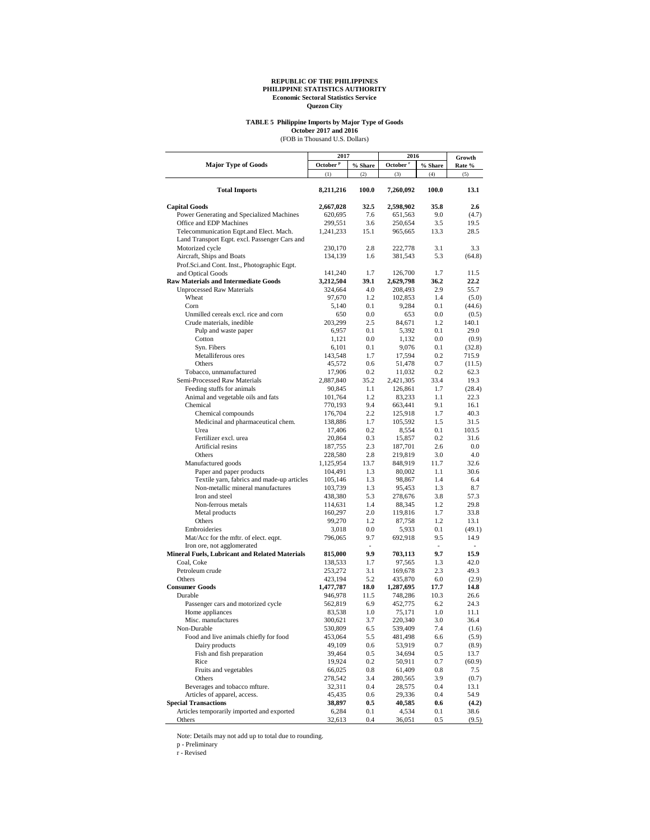# **TABLE 5 Philippine Imports by Major Type of Goods**

October 2017 and 2016<br>(FOB in Thousand U.S. Dollars)

|                                                | 2017                 |                          | 2016                 | Growth     |                          |
|------------------------------------------------|----------------------|--------------------------|----------------------|------------|--------------------------|
| <b>Major Type of Goods</b>                     | October <sup>P</sup> | $\%$ Share               | October <sup>r</sup> | $\%$ Share | Rate %                   |
|                                                | (1)                  | (2)                      | (3)                  | (4)        | (5)                      |
| <b>Total Imports</b>                           | 8,211,216            | 100.0                    | 7,260,092            | 100.0      | 13.1                     |
| <b>Capital Goods</b>                           | 2,667,028            | 32.5                     | 2,598,902            | 35.8       | 2.6                      |
| Power Generating and Specialized Machines      | 620,695              | 7.6                      | 651,563              | 9.0        | (4.7)                    |
| Office and EDP Machines                        | 299,551              | 3.6                      | 250,654              | 3.5        | 19.5                     |
| Telecommunication Eqpt.and Elect. Mach.        | 1,241,233            | 15.1                     | 965,665              | 13.3       | 28.5                     |
| Land Transport Eqpt. excl. Passenger Cars and  |                      |                          |                      |            |                          |
| Motorized cycle                                | 230,170              | 2.8                      | 222,778              | 3.1        | 3.3                      |
| Aircraft, Ships and Boats                      | 134,139              | 1.6                      | 381,543              | 5.3        | (64.8)                   |
| Prof.Sci.and Cont. Inst., Photographic Eqpt.   |                      |                          |                      |            |                          |
| and Optical Goods                              | 141,240              | 1.7                      | 126,700              | 1.7        | 11.5                     |
| <b>Raw Materials and Intermediate Goods</b>    | 3,212,504            | 39.1                     | 2,629,798            | 36.2       | 22.2                     |
| <b>Unprocessed Raw Materials</b>               | 324,664              | 4.0                      | 208,493              | 2.9        | 55.7                     |
| Wheat                                          | 97,670               | 1.2                      | 102,853              | 1.4        | (5.0)                    |
| Corn                                           | 5,140                | 0.1                      | 9,284                | 0.1        | (44.6)                   |
| Unmilled cereals excl. rice and corn           | 650                  | 0.0                      | 653                  | 0.0        | (0.5)                    |
| Crude materials, inedible                      | 203,299              | 2.5                      | 84,671               | 1.2        | 140.1                    |
| Pulp and waste paper                           | 6,957                | 0.1                      | 5,392                | 0.1        | 29.0                     |
| Cotton                                         | 1,121                | 0.0                      | 1,132                | 0.0        | (0.9)                    |
| Syn. Fibers                                    | 6,101                | 0.1                      | 9,076                | 0.1        | (32.8)                   |
| Metalliferous ores                             | 143,548              | 1.7                      | 17,594               | 0.2        | 715.9                    |
| Others                                         | 45,572               | 0.6                      | 51,478               | 0.7        | (11.5)                   |
| Tobacco, unmanufactured                        | 17,906               | 0.2                      | 11,032               | 0.2        | 62.3                     |
| Semi-Processed Raw Materials                   | 2,887,840            | 35.2                     | 2,421,305            | 33.4       | 19.3                     |
| Feeding stuffs for animals                     | 90,845               | 1.1                      | 126,861              | 1.7        | (28.4)                   |
| Animal and vegetable oils and fats             | 101,764              | 1.2                      | 83,233               | 1.1        | 22.3                     |
| Chemical                                       | 770,193              | 9.4                      | 663,441              | 9.1        | 16.1                     |
| Chemical compounds                             | 176,704              | 2.2                      | 125,918              | 1.7        | 40.3                     |
| Medicinal and pharmaceutical chem.             | 138,886              | 1.7                      | 105,592              | 1.5        | 31.5                     |
| Urea                                           | 17,406               | 0.2                      | 8,554                | 0.1        | 103.5                    |
| Fertilizer excl. urea                          | 20,864               | 0.3                      | 15,857               | 0.2        | 31.6                     |
| Artificial resins                              | 187,755              | 2.3                      | 187,701              | 2.6        | 0.0                      |
| Others                                         | 228,580              | 2.8                      | 219,819              | 3.0        | 4.0                      |
| Manufactured goods                             | 1,125,954            | 13.7                     | 848,919              | 11.7       | 32.6                     |
| Paper and paper products                       | 104,491              | 1.3                      | 80,002               | 1.1        | 30.6                     |
| Textile yarn, fabrics and made-up articles     | 105,146              | 1.3                      | 98,867               | 1.4        | 6.4                      |
| Non-metallic mineral manufactures              | 103,739              | 1.3                      | 95,453               | 1.3        | 8.7                      |
| Iron and steel                                 | 438,380              | 5.3                      | 278,676              | 3.8        | 57.3                     |
| Non-ferrous metals                             | 114,631              | 1.4                      | 88,345               | 1.2        | 29.8                     |
| Metal products                                 | 160,297              | 2.0                      | 119,816              | 1.7        | 33.8                     |
| Others                                         | 99,270               | 1.2                      | 87,758               | 1.2        | 13.1                     |
| Embroideries                                   | 3,018                | $0.0\,$                  | 5,933                | 0.1        | (49.1)                   |
| Mat/Acc for the mftr. of elect. eqpt.          | 796,065              | 9.7                      | 692,918              | 9.5        | 14.9                     |
| Iron ore, not agglomerated                     |                      | $\overline{\phantom{a}}$ |                      | $\sim$     | $\overline{\phantom{0}}$ |
| Mineral Fuels, Lubricant and Related Materials | 815,000              | 9.9                      | 703,113              | 9.7        | 15.9                     |
| Coal, Coke                                     | 138,533              | 1.7                      | 97,565               | 1.3        | 42.0                     |
| Petroleum crude                                | 253,272              | 3.1                      | 169,678              | 2.3        | 49.3                     |
| Others                                         | 423,194              | 5.2                      | 435,870              | 6.0        | (2.9)                    |
| <b>Consumer Goods</b>                          | 1,477,787            | 18.0                     | 1,287,695            | 17.7       | 14.8                     |
| Durable                                        | 946,978              | 11.5                     | 748,286              | 10.3       | 26.6                     |
| Passenger cars and motorized cycle             | 562,819              | 6.9                      | 452,775              | 6.2        | 24.3                     |
| Home appliances                                | 83,538               | 1.0                      | 75,171               | 1.0        | 11.1                     |
| Misc. manufactures                             | 300,621              | 3.7                      | 220,340              | 3.0        | 36.4                     |
| Non-Durable                                    | 530,809              | 6.5                      | 539,409              | 7.4        | (1.6)                    |
| Food and live animals chiefly for food         | 453,064              | 5.5                      | 481,498              | 6.6        | (5.9)                    |
| Dairy products                                 | 49,109               | 0.6                      | 53,919               | 0.7        | (8.9)                    |
| Fish and fish preparation                      | 39,464               | 0.5                      | 34,694               | 0.5        | 13.7                     |
| Rice                                           | 19,924               | 0.2                      | 50,911               | 0.7        | (60.9)                   |
| Fruits and vegetables                          | 66,025               | 0.8                      | 61,409               | 0.8        | 7.5                      |
| Others                                         | 278,542              | 3.4                      | 280,565              | 3.9        | (0.7)                    |
| Beverages and tobacco mfture.                  | 32,311               | 0.4                      | 28,575               | 0.4        | 13.1                     |
| Articles of apparel, access.                   | 45,435               | 0.6                      | 29,336               | 0.4        | 54.9                     |
| <b>Special Transactions</b>                    | 38,897               | $0.5\,$                  | 40,585               | 0.6        | (4.2)                    |
| Articles temporarily imported and exported     | 6,284                | $0.1\,$                  | 4,534                | 0.1        | 38.6                     |
| Others                                         | 32,613               | 0.4                      | 36,051               | 0.5        | (9.5)                    |

Note: Details may not add up to total due to rounding. p - Preliminary r - Revised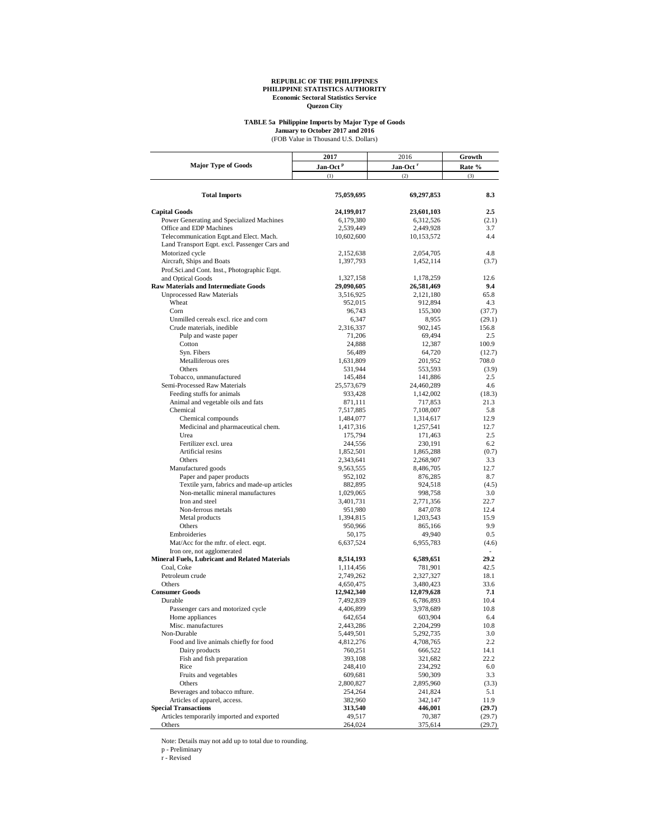## **TABLE 5a Philippine Imports by Major Type of Goods**

(FOB Value in Thousand U.S. Dollars) **January to October 2017 and 2016**

|                                                       | 2017                 | 2016                 | Growth<br>Rate % |  |
|-------------------------------------------------------|----------------------|----------------------|------------------|--|
| <b>Major Type of Goods</b>                            | Jan-Oct <sup>p</sup> | Jan-Oct <sup>r</sup> |                  |  |
|                                                       | (1)                  | (2)                  | (3)              |  |
|                                                       |                      |                      |                  |  |
| <b>Total Imports</b>                                  | 75,059,695           | 69,297,853           | 8.3              |  |
| <b>Capital Goods</b>                                  | 24,199,017           | 23,601,103           | 2.5              |  |
| Power Generating and Specialized Machines             | 6,179,380            | 6,312,526            | (2.1)            |  |
| Office and EDP Machines                               | 2,539,449            | 2,449,928            | 3.7              |  |
| Telecommunication Eqpt.and Elect. Mach.               | 10,602,600           | 10,153,572           | 4.4              |  |
| Land Transport Eqpt. excl. Passenger Cars and         |                      |                      |                  |  |
| Motorized cycle                                       | 2,152,638            | 2,054,705            | 4.8              |  |
| Aircraft, Ships and Boats                             | 1,397,793            | 1,452,114            | (3.7)            |  |
| Prof.Sci.and Cont. Inst., Photographic Eqpt.          |                      |                      |                  |  |
| and Optical Goods                                     | 1,327,158            | 1,178,259            | 12.6             |  |
| <b>Raw Materials and Intermediate Goods</b>           | 29,090,605           | 26,581,469           | 9.4<br>65.8      |  |
| <b>Unprocessed Raw Materials</b><br>Wheat             | 3,516,925<br>952,015 | 2,121,180<br>912,894 | 4.3              |  |
| Corn                                                  | 96,743               | 155,300              | (37.7)           |  |
| Unmilled cereals excl. rice and corn                  | 6,347                | 8,955                | (29.1)           |  |
| Crude materials, inedible                             | 2,316,337            | 902,145              | 156.8            |  |
| Pulp and waste paper                                  | 71,206               | 69,494               | 2.5              |  |
| Cotton                                                | 24,888               | 12,387               | 100.9            |  |
| Syn. Fibers                                           | 56,489               | 64,720               | (12.7)           |  |
| Metalliferous ores                                    | 1,631,809            | 201,952              | 708.0            |  |
| Others                                                | 531,944              | 553,593              | (3.9)            |  |
| Tobacco, unmanufactured                               | 145,484              | 141,886              | 2.5              |  |
| Semi-Processed Raw Materials                          | 25,573,679           | 24,460,289           | 4.6              |  |
| Feeding stuffs for animals                            | 933,428              | 1,142,002            | (18.3)           |  |
| Animal and vegetable oils and fats                    | 871,111              | 717,853              | 21.3             |  |
| Chemical                                              | 7,517,885            | 7,108,007            | 5.8              |  |
| Chemical compounds                                    | 1,484,077            | 1,314,617            | 12.9             |  |
| Medicinal and pharmaceutical chem.                    | 1,417,316            | 1,257,541            | 12.7             |  |
| Urea                                                  | 175,794              | 171,463              | 2.5              |  |
| Fertilizer excl. urea                                 | 244,556              | 230,191              | 6.2              |  |
| Artificial resins                                     | 1,852,501            | 1,865,288            | (0.7)            |  |
| Others                                                | 2,343,641            | 2,268,907            | 3.3              |  |
| Manufactured goods                                    | 9,563,555            | 8,486,705            | 12.7             |  |
| Paper and paper products                              | 952,102              | 876,285              | 8.7              |  |
| Textile yarn, fabrics and made-up articles            | 882,895              | 924,518              | (4.5)            |  |
| Non-metallic mineral manufactures                     | 1,029,065            | 998,758              | 3.0              |  |
| Iron and steel                                        | 3,401,731            | 2,771,356            | 22.7             |  |
| Non-ferrous metals                                    | 951,980              | 847,078              | 12.4             |  |
| Metal products<br>Others                              | 1,394,815<br>950,966 | 1,203,543<br>865,166 | 15.9<br>9.9      |  |
| Embroideries                                          | 50,175               | 49,940               | 0.5              |  |
| Mat/Acc for the mftr. of elect. eqpt.                 | 6,637,524            | 6,955,783            | (4.6)            |  |
| Iron ore, not agglomerated                            |                      |                      | ÷.               |  |
| <b>Mineral Fuels, Lubricant and Related Materials</b> | 8,514,193            | 6,589,651            | 29.2             |  |
| Coal, Coke                                            | 1,114,456            | 781,901              | 42.5             |  |
| Petroleum crude                                       | 2,749,262            | 2,327,327            | 18.1             |  |
| Others                                                | 4,650,475            | 3,480,423            | 33.6             |  |
| <b>Consumer Goods</b>                                 | 12,942,340           | 12,079,628           | 7.1              |  |
| Durable                                               | 7,492,839            | 6,786,893            | 10.4             |  |
| Passenger cars and motorized cycle                    | 4,406,899            | 3,978,689            | 10.8             |  |
| Home appliances                                       | 642,654              | 603,904              | 6.4              |  |
| Misc. manufactures                                    | 2,443,286            | 2,204,299            | 10.8             |  |
| Non-Durable                                           | 5,449,501            | 5,292,735            | 3.0              |  |
| Food and live animals chiefly for food                | 4,812,276            | 4,708,765            | 2.2              |  |
| Dairy products                                        | 760,251              | 666,522              | 14.1             |  |
| Fish and fish preparation                             | 393,108              | 321,682              | 22.2             |  |
| Rice                                                  | 248,410              | 234,292              | 6.0              |  |
| Fruits and vegetables                                 | 609,681              | 590,309              | 3.3              |  |
| Others                                                | 2,800,827            | 2,895,960            | (3.3)            |  |
| Beverages and tobacco mfture.                         | 254,264              | 241,824              | 5.1              |  |
| Articles of apparel, access.                          | 382,960              | 342,147              | 11.9             |  |
| <b>Special Transactions</b>                           | 313,540              | 446,001              | (29.7)           |  |
| Articles temporarily imported and exported<br>Others  | 49,517               | 70,387               | (29.7)<br>(29.7) |  |
|                                                       | 264,024              | 375,614              |                  |  |

Note: Details may not add up to total due to rounding. p - Preliminary r - Revised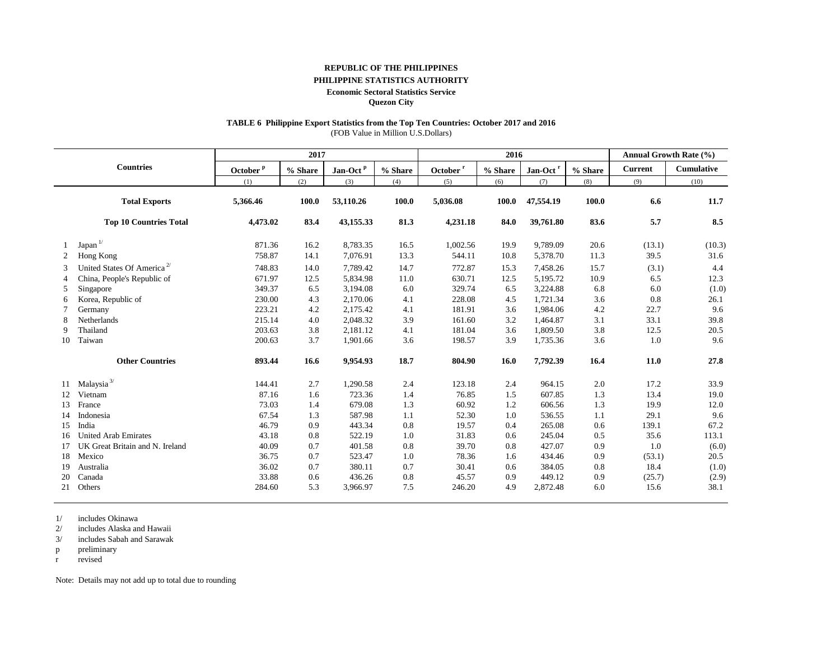### **REPUBLIC OF THE PHILIPPINES**

## **PHILIPPINE STATISTICS AUTHORITY**

#### **Economic Sectoral Statistics Service**

**Quezon City**

## **TABLE 6 Philippine Export Statistics from the Top Ten Countries: October 2017 and 2016**

(FOB Value in Million U.S.Dollars)

|                |                                        |                      | 2017    |                      |         | 2016                 |         |                      |         |                | Annual Growth Rate (%) |
|----------------|----------------------------------------|----------------------|---------|----------------------|---------|----------------------|---------|----------------------|---------|----------------|------------------------|
|                | <b>Countries</b>                       | October <sup>p</sup> | % Share | Jan-Oct <sup>p</sup> | % Share | October <sup>r</sup> | % Share | Jan-Oct <sup>r</sup> | % Share | <b>Current</b> | Cumulative             |
|                |                                        | (1)                  | (2)     | (3)                  | (4)     | (5)                  | (6)     | (7)                  | (8)     | (9)            | (10)                   |
|                | <b>Total Exports</b>                   | 5,366.46             | 100.0   | 53,110.26            | 100.0   | 5,036.08             | 100.0   | 47,554.19            | 100.0   | 6.6            | 11.7                   |
|                | <b>Top 10 Countries Total</b>          | 4,473.02             | 83.4    | 43,155.33            | 81.3    | 4,231.18             | 84.0    | 39,761.80            | 83.6    | 5.7            | 8.5                    |
|                | Japan $1/$                             | 871.36               | 16.2    | 8,783.35             | 16.5    | 1,002.56             | 19.9    | 9,789.09             | 20.6    | (13.1)         | (10.3)                 |
| 2              | Hong Kong                              | 758.87               | 14.1    | 7,076.91             | 13.3    | 544.11               | 10.8    | 5,378.70             | 11.3    | 39.5           | 31.6                   |
| $\mathcal{R}$  | United States Of America <sup>2/</sup> | 748.83               | 14.0    | 7.789.42             | 14.7    | 772.87               | 15.3    | 7,458.26             | 15.7    | (3.1)          | 4.4                    |
| $\overline{4}$ | China, People's Republic of            | 671.97               | 12.5    | 5,834.98             | 11.0    | 630.71               | 12.5    | 5,195.72             | 10.9    | 6.5            | 12.3                   |
| 5              | Singapore                              | 349.37               | 6.5     | 3,194.08             | 6.0     | 329.74               | 6.5     | 3,224.88             | 6.8     | 6.0            | (1.0)                  |
| 6              | Korea, Republic of                     | 230.00               | 4.3     | 2,170.06             | 4.1     | 228.08               | 4.5     | 1,721.34             | 3.6     | 0.8            | 26.1                   |
|                | Germany                                | 223.21               | 4.2     | 2,175.42             | 4.1     | 181.91               | 3.6     | 1,984.06             | 4.2     | 22.7           | 9.6                    |
| 8              | Netherlands                            | 215.14               | 4.0     | 2,048.32             | 3.9     | 161.60               | 3.2     | 1,464.87             | 3.1     | 33.1           | 39.8                   |
| 9              | Thailand                               | 203.63               | 3.8     | 2,181.12             | 4.1     | 181.04               | 3.6     | 1,809.50             | 3.8     | 12.5           | 20.5                   |
| 10             | Taiwan                                 | 200.63               | 3.7     | 1.901.66             | 3.6     | 198.57               | 3.9     | 1,735.36             | 3.6     | 1.0            | 9.6                    |
|                | <b>Other Countries</b>                 | 893.44               | 16.6    | 9,954.93             | 18.7    | 804.90               | 16.0    | 7,792.39             | 16.4    | 11.0           | 27.8                   |
| 11             | Malaysia $^{3\prime}$                  | 144.41               | 2.7     | 1,290.58             | 2.4     | 123.18               | 2.4     | 964.15               | 2.0     | 17.2           | 33.9                   |
| 12             | Vietnam                                | 87.16                | 1.6     | 723.36               | 1.4     | 76.85                | 1.5     | 607.85               | 1.3     | 13.4           | 19.0                   |
| 13             | France                                 | 73.03                | 1.4     | 679.08               | 1.3     | 60.92                | 1.2     | 606.56               | 1.3     | 19.9           | 12.0                   |
| 14             | Indonesia                              | 67.54                | 1.3     | 587.98               | 1.1     | 52.30                | 1.0     | 536.55               | 1.1     | 29.1           | 9.6                    |
| 15             | India                                  | 46.79                | 0.9     | 443.34               | 0.8     | 19.57                | 0.4     | 265.08               | 0.6     | 139.1          | 67.2                   |
| 16             | <b>United Arab Emirates</b>            | 43.18                | 0.8     | 522.19               | 1.0     | 31.83                | 0.6     | 245.04               | 0.5     | 35.6           | 113.1                  |
| 17             | UK Great Britain and N. Ireland        | 40.09                | 0.7     | 401.58               | 0.8     | 39.70                | 0.8     | 427.07               | 0.9     | 1.0            | (6.0)                  |
| 18             | Mexico                                 | 36.75                | 0.7     | 523.47               | 1.0     | 78.36                | 1.6     | 434.46               | 0.9     | (53.1)         | 20.5                   |
| 19             | Australia                              | 36.02                | 0.7     | 380.11               | 0.7     | 30.41                | 0.6     | 384.05               | 0.8     | 18.4           | (1.0)                  |
| 20             | Canada                                 | 33.88                | 0.6     | 436.26               | 0.8     | 45.57                | 0.9     | 449.12               | 0.9     | (25.7)         | (2.9)                  |
| 21             | Others                                 | 284.60               | 5.3     | 3,966.97             | 7.5     | 246.20               | 4.9     | 2,872.48             | 6.0     | 15.6           | 38.1                   |

1/ includes Okinawa

2/ includes Alaska and Hawaii

3/ includes Sabah and Sarawak

p preliminary

r revised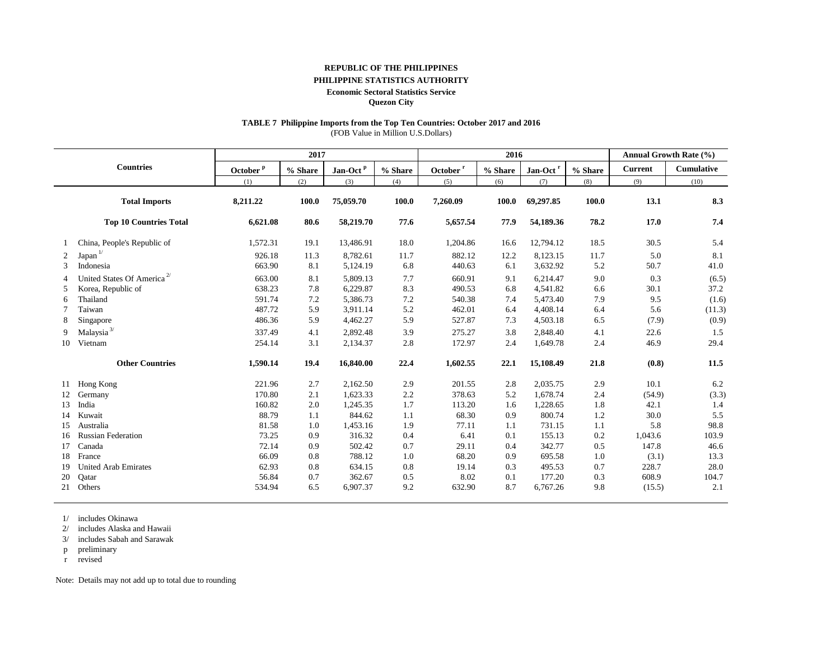### **REPUBLIC OF THE PHILIPPINES**

## **PHILIPPINE STATISTICS AUTHORITY**

#### **Economic Sectoral Statistics Service**

**Quezon City**

## **TABLE 7 Philippine Imports from the Top Ten Countries: October 2017 and 2016**

(FOB Value in Million U.S.Dollars)

|                |                                        |                      | 2017       |                      |         | 2016                 |         |                      |         |                | <b>Annual Growth Rate (%)</b> |
|----------------|----------------------------------------|----------------------|------------|----------------------|---------|----------------------|---------|----------------------|---------|----------------|-------------------------------|
|                | <b>Countries</b>                       | October <sup>p</sup> | $\%$ Share | Jan-Oct <sup>P</sup> | % Share | October <sup>r</sup> | % Share | Jan-Oct <sup>r</sup> | % Share | <b>Current</b> | Cumulative                    |
|                |                                        | (1)                  | (2)        | (3)                  | (4)     | (5)                  | (6)     | (7)                  | (8)     | (9)            | (10)                          |
|                | <b>Total Imports</b>                   | 8,211.22             | 100.0      | 75,059.70            | 100.0   | 7,260.09             | 100.0   | 69,297.85            | 100.0   | 13.1           | 8.3                           |
|                | <b>Top 10 Countries Total</b>          | 6,621.08             | 80.6       | 58,219.70            | 77.6    | 5,657.54             | 77.9    | 54,189.36            | 78.2    | 17.0           | 7.4                           |
|                | China, People's Republic of            | 1,572.31             | 19.1       | 13,486.91            | 18.0    | 1,204.86             | 16.6    | 12,794.12            | 18.5    | 30.5           | 5.4                           |
| 2              | Japan <sup>1</sup>                     | 926.18               | 11.3       | 8,782.61             | 11.7    | 882.12               | 12.2    | 8,123.15             | 11.7    | 5.0            | 8.1                           |
| 3              | Indonesia                              | 663.90               | 8.1        | 5,124.19             | 6.8     | 440.63               | 6.1     | 3,632.92             | 5.2     | 50.7           | 41.0                          |
| $\overline{4}$ | United States Of America <sup>2/</sup> | 663.00               | 8.1        | 5,809.13             | 7.7     | 660.91               | 9.1     | 6,214.47             | 9.0     | 0.3            | (6.5)                         |
| 5              | Korea, Republic of                     | 638.23               | 7.8        | 6,229.87             | 8.3     | 490.53               | 6.8     | 4,541.82             | 6.6     | 30.1           | 37.2                          |
| 6              | Thailand                               | 591.74               | 7.2        | 5,386.73             | 7.2     | 540.38               | 7.4     | 5,473.40             | 7.9     | 9.5            | (1.6)                         |
|                | Taiwan                                 | 487.72               | 5.9        | 3,911.14             | 5.2     | 462.01               | 6.4     | 4,408.14             | 6.4     | 5.6            | (11.3)                        |
| 8              | Singapore                              | 486.36               | 5.9        | 4,462.27             | 5.9     | 527.87               | 7.3     | 4,503.18             | 6.5     | (7.9)          | (0.9)                         |
| 9              | Malaysia <sup>3/</sup>                 | 337.49               | 4.1        | 2,892.48             | 3.9     | 275.27               | 3.8     | 2,848.40             | 4.1     | 22.6           | 1.5                           |
| 10             | Vietnam                                | 254.14               | 3.1        | 2,134.37             | 2.8     | 172.97               | 2.4     | 1,649.78             | 2.4     | 46.9           | 29.4                          |
|                | <b>Other Countries</b>                 | 1,590.14             | 19.4       | 16,840.00            | 22.4    | 1,602.55             | 22.1    | 15,108.49            | 21.8    | (0.8)          | 11.5                          |
| 11             | Hong Kong                              | 221.96               | 2.7        | 2,162.50             | 2.9     | 201.55               | 2.8     | 2,035.75             | 2.9     | 10.1           | 6.2                           |
| 12             | Germany                                | 170.80               | 2.1        | 1,623.33             | 2.2     | 378.63               | 5.2     | 1,678.74             | 2.4     | (54.9)         | (3.3)                         |
| 13             | India                                  | 160.82               | 2.0        | 1,245.35             | 1.7     | 113.20               | 1.6     | 1,228.65             | 1.8     | 42.1           | 1.4                           |
| 14             | Kuwait                                 | 88.79                | 1.1        | 844.62               | 1.1     | 68.30                | 0.9     | 800.74               | 1.2     | 30.0           | 5.5                           |
| 15             | Australia                              | 81.58                | 1.0        | 1,453.16             | 1.9     | 77.11                | 1.1     | 731.15               | 1.1     | 5.8            | 98.8                          |
| 16             | <b>Russian Federation</b>              | 73.25                | 0.9        | 316.32               | 0.4     | 6.41                 | 0.1     | 155.13               | 0.2     | 1,043.6        | 103.9                         |
| 17             | Canada                                 | 72.14                | 0.9        | 502.42               | 0.7     | 29.11                | 0.4     | 342.77               | 0.5     | 147.8          | 46.6                          |
| 18             | France                                 | 66.09                | 0.8        | 788.12               | 1.0     | 68.20                | 0.9     | 695.58               | 1.0     | (3.1)          | 13.3                          |
| 19             | <b>United Arab Emirates</b>            | 62.93                | 0.8        | 634.15               | 0.8     | 19.14                | 0.3     | 495.53               | 0.7     | 228.7          | 28.0                          |
| 20             | Qatar                                  | 56.84                | 0.7        | 362.67               | 0.5     | 8.02                 | 0.1     | 177.20               | 0.3     | 608.9          | 104.7                         |
| 21             | Others                                 | 534.94               | 6.5        | 6,907.37             | 9.2     | 632.90               | 8.7     | 6,767.26             | 9.8     | (15.5)         | 2.1                           |

1/ includes Okinawa

2/ includes Alaska and Hawaii

3/ includes Sabah and Sarawak

p preliminary

r revised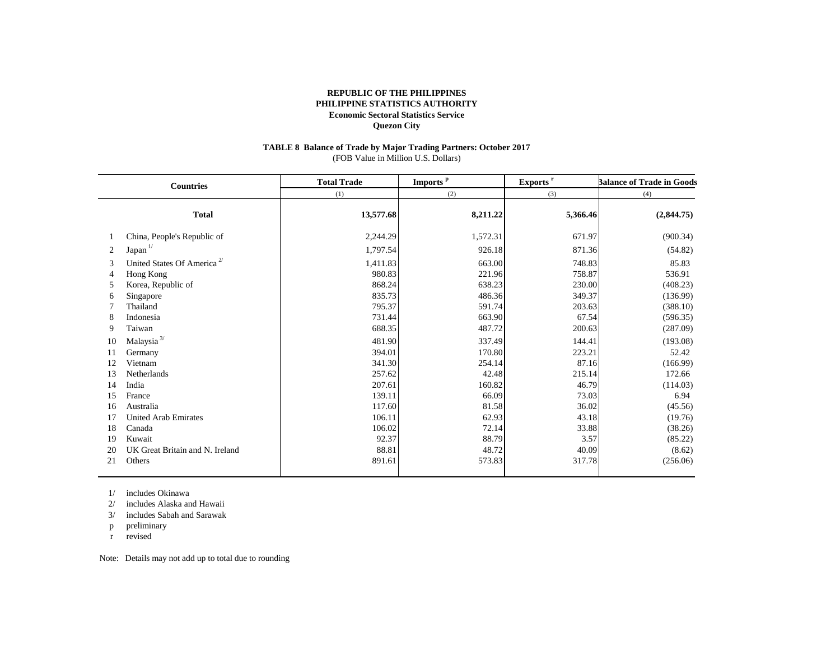#### **TABLE 8 Balance of Trade by Major Trading Partners: October 2017** (FOB Value in Million U.S. Dollars)

| <b>Countries</b>                             |                                                                                                                              | <b>Total Trade</b>                                                         | Imports <sup>p</sup>                                                   | Exports <sup>r</sup>                                                 | <b>Balance of Trade in Goods</b>                                                   |  |
|----------------------------------------------|------------------------------------------------------------------------------------------------------------------------------|----------------------------------------------------------------------------|------------------------------------------------------------------------|----------------------------------------------------------------------|------------------------------------------------------------------------------------|--|
|                                              |                                                                                                                              | (1)                                                                        | (2)                                                                    | (3)                                                                  | (4)                                                                                |  |
|                                              | <b>Total</b>                                                                                                                 | 13,577.68                                                                  | 8,211.22                                                               | 5,366.46                                                             | (2,844.75)                                                                         |  |
|                                              | China, People's Republic of                                                                                                  | 2,244.29                                                                   | 1,572.31                                                               | 671.97                                                               | (900.34)                                                                           |  |
| 2                                            | Japan <sup>1/</sup>                                                                                                          | 1,797.54                                                                   | 926.18                                                                 | 871.36                                                               | (54.82)                                                                            |  |
| 3<br>4                                       | United States Of America <sup>2/</sup><br>Hong Kong                                                                          | 1,411.83<br>980.83                                                         | 663.00<br>221.96                                                       | 748.83<br>758.87                                                     | 85.83<br>536.91                                                                    |  |
| 5                                            | Korea, Republic of                                                                                                           | 868.24                                                                     | 638.23                                                                 | 230.00                                                               | (408.23)                                                                           |  |
| 6<br>8<br>9<br>10<br>11                      | Singapore<br>Thailand<br>Indonesia<br>Taiwan<br>Malaysia $^{3\prime}$<br>Germany                                             | 835.73<br>795.37<br>731.44<br>688.35<br>481.90<br>394.01                   | 486.36<br>591.74<br>663.90<br>487.72<br>337.49<br>170.80               | 349.37<br>203.63<br>67.54<br>200.63<br>144.41<br>223.21              | (136.99)<br>(388.10)<br>(596.35)<br>(287.09)<br>(193.08)<br>52.42                  |  |
| 12<br>13                                     | Vietnam<br><b>Netherlands</b>                                                                                                | 341.30<br>257.62                                                           | 254.14<br>42.48                                                        | 87.16<br>215.14                                                      | (166.99)<br>172.66                                                                 |  |
| 14<br>15<br>16<br>17<br>18<br>19<br>20<br>21 | India<br>France<br>Australia<br><b>United Arab Emirates</b><br>Canada<br>Kuwait<br>UK Great Britain and N. Ireland<br>Others | 207.61<br>139.11<br>117.60<br>106.11<br>106.02<br>92.37<br>88.81<br>891.61 | 160.82<br>66.09<br>81.58<br>62.93<br>72.14<br>88.79<br>48.72<br>573.83 | 46.79<br>73.03<br>36.02<br>43.18<br>33.88<br>3.57<br>40.09<br>317.78 | (114.03)<br>6.94<br>(45.56)<br>(19.76)<br>(38.26)<br>(85.22)<br>(8.62)<br>(256.06) |  |
|                                              |                                                                                                                              |                                                                            |                                                                        |                                                                      |                                                                                    |  |

1/ includes Okinawa

2/ includes Alaska and Hawaii

3/ includes Sabah and Sarawak

p preliminary

r revised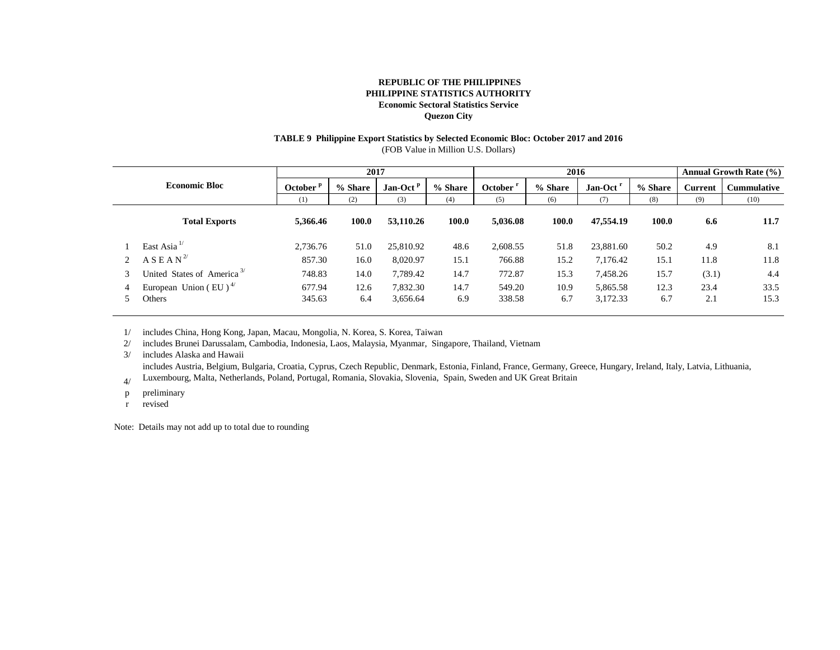# **TABLE 9 Philippine Export Statistics by Selected Economic Bloc: October 2017 and 2016**

(FOB Value in Million U.S. Dollars)

|   |                                                |             | 2017    |            |         | 2016                 |         |                      | <b>Annual Growth Rate (%)</b> |                |                    |
|---|------------------------------------------------|-------------|---------|------------|---------|----------------------|---------|----------------------|-------------------------------|----------------|--------------------|
|   | <b>Economic Bloc</b>                           | October $P$ | % Share | $Jan-Octp$ | % Share | October <sup>1</sup> | % Share | Jan-Oct <sup>r</sup> | % Share                       | <b>Current</b> | <b>Cummulative</b> |
|   |                                                | (1)         | (2)     | (3)        | (4)     | (5)                  | (6)     | (7)                  | (8)                           | (9)            | (10)               |
|   | <b>Total Exports</b>                           | 5,366.46    | 100.0   | 53,110.26  | 100.0   | 5.036.08             | 100.0   | 47,554.19            | 100.0                         | 6.6            | 11.7               |
|   | East Asia $^{1/}$                              | 2,736.76    | 51.0    | 25,810.92  | 48.6    | 2,608.55             | 51.8    | 23,881.60            | 50.2                          | 4.9            | 8.1                |
|   | A S E A N <sup>2</sup>                         | 857.30      | 16.0    | 8,020.97   | 15.1    | 766.88               | 15.2    | 7,176.42             | 15.1                          | 11.8           | 11.8               |
| 3 | United States of America <sup>3/</sup>         | 748.83      | 14.0    | 7,789.42   | 14.7    | 772.87               | 15.3    | 7,458.26             | 15.7                          | (3.1)          | 4.4                |
|   | European Union (EU) <sup><math>4/</math></sup> | 677.94      | 12.6    | 7,832.30   | 14.7    | 549.20               | 10.9    | 5,865.58             | 12.3                          | 23.4           | 33.5               |
|   | Others                                         | 345.63      | 6.4     | 3,656.64   | 6.9     | 338.58               | 6.7     | 3,172.33             | 6.7                           | 2.1            | 15.3               |

1/ includes China, Hong Kong, Japan, Macau, Mongolia, N. Korea, S. Korea, Taiwan

2/ includes Brunei Darussalam, Cambodia, Indonesia, Laos, Malaysia, Myanmar, Singapore, Thailand, Vietnam

3/ includes Alaska and Hawaii

includes Austria, Belgium, Bulgaria, Croatia, Cyprus, Czech Republic, Denmark, Estonia, Finland, France, Germany, Greece, Hungary, Ireland, Italy, Latvia, Lithuania,

4/ Luxembourg, Malta, Netherlands, Poland, Portugal, Romania, Slovakia, Slovenia, Spain, Sweden and UK Great Britain

p preliminary

r revised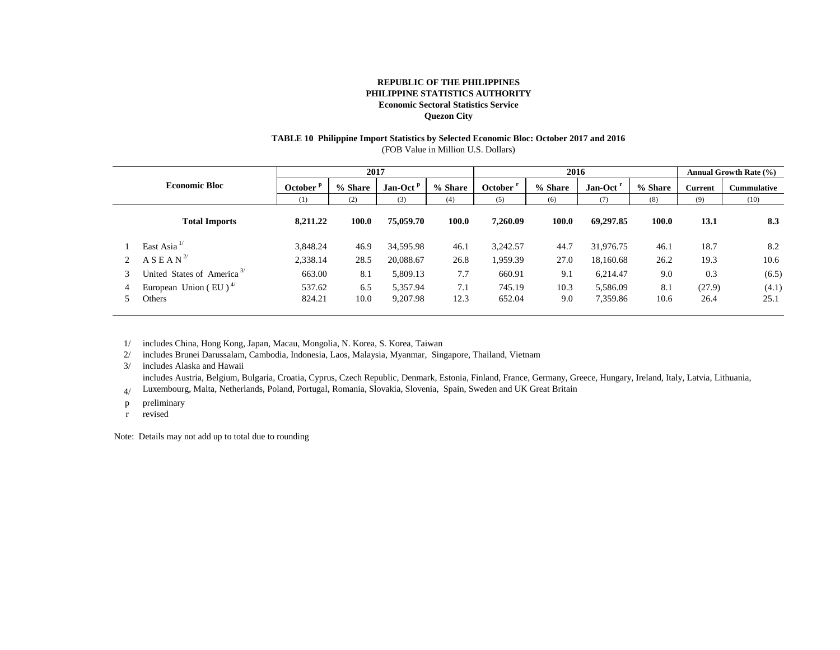## **TABLE 10 Philippine Import Statistics by Selected Economic Bloc: October 2017 and 2016**

(FOB Value in Million U.S. Dollars)

|                                                | 2017     |                    |            | 2016    |          |         | <b>Annual Growth Rate (%)</b> |         |         |                    |
|------------------------------------------------|----------|--------------------|------------|---------|----------|---------|-------------------------------|---------|---------|--------------------|
| <b>Economic Bloc</b>                           |          | % Share            | $Jan-Octp$ | % Share | October  | % Share | Jan-Oct <sup>r</sup>          | % Share | Current | <b>Cummulative</b> |
|                                                |          | (2)                | (3)        | (4)     | (5)      | (6)     | (7)                           | (8)     | (9)     | (10)               |
| <b>Total Imports</b>                           | 8.211.22 | 100.0              | 75,059.70  | 100.0   | 7,260.09 | 100.0   | 69,297.85                     | 100.0   | 13.1    | 8.3                |
| East Asia $^{1/}$                              | 3.848.24 | 46.9               | 34,595.98  | 46.1    | 3,242.57 | 44.7    | 31,976.75                     | 46.1    | 18.7    | 8.2                |
| A S E A N <sup>2</sup>                         | 2,338.14 | 28.5               | 20,088.67  | 26.8    | 1,959.39 | 27.0    | 18,160.68                     | 26.2    | 19.3    | 10.6               |
| United States of America <sup>3/</sup>         | 663.00   | 8.1                | 5,809.13   | 7.7     | 660.91   | 9.1     | 6,214.47                      | 9.0     | 0.3     | (6.5)              |
| European Union (EU) <sup><math>4/</math></sup> | 537.62   | 6.5                | 5,357.94   | 7.1     | 745.19   | 10.3    | 5,586.09                      | 8.1     | (27.9)  | (4.1)              |
| Others                                         | 824.21   | 10.0               | 9,207.98   | 12.3    | 652.04   | 9.0     | 7,359.86                      | 10.6    | 26.4    | 25.1               |
|                                                |          | October $P$<br>(1) |            |         |          |         |                               |         |         |                    |

1/ includes China, Hong Kong, Japan, Macau, Mongolia, N. Korea, S. Korea, Taiwan

2/ includes Brunei Darussalam, Cambodia, Indonesia, Laos, Malaysia, Myanmar, Singapore, Thailand, Vietnam

3/ includes Alaska and Hawaii

4/ includes Austria, Belgium, Bulgaria, Croatia, Cyprus, Czech Republic, Denmark, Estonia, Finland, France, Germany, Greece, Hungary, Ireland, Italy, Latvia, Lithuania, Luxembourg, Malta, Netherlands, Poland, Portugal, Romania, Slovakia, Slovenia, Spain, Sweden and UK Great Britain

p preliminary

r revised